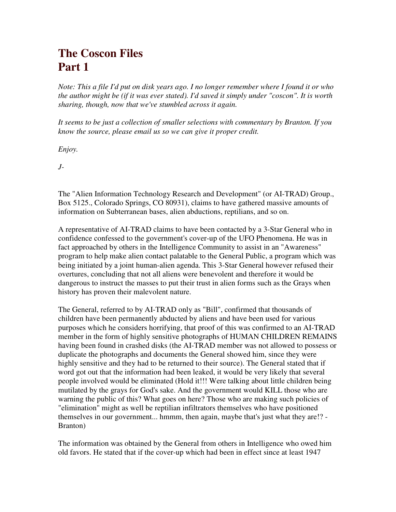# **The Coscon Files Part 1**

*Note: This a file I'd put on disk years ago. I no longer remember where I found it or who the author might be (if it was ever stated). I'd saved it simply under "coscon". It is worth sharing, though, now that we've stumbled across it again.* 

*It seems to be just a collection of smaller selections with commentary by Branton. If you know the source, please email us so we can give it proper credit.* 

*Enjoy.* 

*J-*

The "Alien Information Technology Research and Development" (or AI-TRAD) Group., Box 5125., Colorado Springs, CO 80931), claims to have gathered massive amounts of information on Subterranean bases, alien abductions, reptilians, and so on.

A representative of AI-TRAD claims to have been contacted by a 3-Star General who in confidence confessed to the government's cover-up of the UFO Phenomena. He was in fact approached by others in the Intelligence Community to assist in an "Awareness" program to help make alien contact palatable to the General Public, a program which was being initiated by a joint human-alien agenda. This 3-Star General however refused their overtures, concluding that not all aliens were benevolent and therefore it would be dangerous to instruct the masses to put their trust in alien forms such as the Grays when history has proven their malevolent nature.

The General, referred to by AI-TRAD only as "Bill", confirmed that thousands of children have been permanently abducted by aliens and have been used for various purposes which he considers horrifying, that proof of this was confirmed to an AI-TRAD member in the form of highly sensitive photographs of HUMAN CHILDREN REMAINS having been found in crashed disks (the AI-TRAD member was not allowed to possess or duplicate the photographs and documents the General showed him, since they were highly sensitive and they had to be returned to their source). The General stated that if word got out that the information had been leaked, it would be very likely that several people involved would be eliminated (Hold it!!! Were talking about little children being mutilated by the grays for God's sake. And the government would KILL those who are warning the public of this? What goes on here? Those who are making such policies of "elimination" might as well be reptilian infiltrators themselves who have positioned themselves in our government... hmmm, then again, maybe that's just what they are!? - Branton)

The information was obtained by the General from others in Intelligence who owed him old favors. He stated that if the cover-up which had been in effect since at least 1947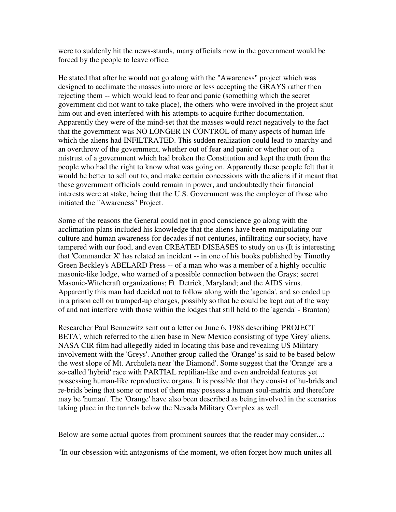were to suddenly hit the news-stands, many officials now in the government would be forced by the people to leave office.

He stated that after he would not go along with the "Awareness" project which was designed to acclimate the masses into more or less accepting the GRAYS rather then rejecting them -- which would lead to fear and panic (something which the secret government did not want to take place), the others who were involved in the project shut him out and even interfered with his attempts to acquire further documentation. Apparently they were of the mind-set that the masses would react negatively to the fact that the government was NO LONGER IN CONTROL of many aspects of human life which the aliens had INFILTRATED. This sudden realization could lead to anarchy and an overthrow of the government, whether out of fear and panic or whether out of a mistrust of a government which had broken the Constitution and kept the truth from the people who had the right to know what was going on. Apparently these people felt that it would be better to sell out to, and make certain concessions with the aliens if it meant that these government officials could remain in power, and undoubtedly their financial interests were at stake, being that the U.S. Government was the employer of those who initiated the "Awareness" Project.

Some of the reasons the General could not in good conscience go along with the acclimation plans included his knowledge that the aliens have been manipulating our culture and human awareness for decades if not centuries, infiltrating our society, have tampered with our food, and even CREATED DISEASES to study on us (It is interesting that 'Commander X' has related an incident -- in one of his books published by Timothy Green Beckley's ABELARD Press -- of a man who was a member of a highly occultic masonic-like lodge, who warned of a possible connection between the Grays; secret Masonic-Witchcraft organizations; Ft. Detrick, Maryland; and the AIDS virus. Apparently this man had decided not to follow along with the 'agenda', and so ended up in a prison cell on trumped-up charges, possibly so that he could be kept out of the way of and not interfere with those within the lodges that still held to the 'agenda' - Branton)

Researcher Paul Bennewitz sent out a letter on June 6, 1988 describing 'PROJECT BETA', which referred to the alien base in New Mexico consisting of type 'Grey' aliens. NASA CIR film had allegedly aided in locating this base and revealing US Military involvement with the 'Greys'. Another group called the 'Orange' is said to be based below the west slope of Mt. Archuleta near 'the Diamond'. Some suggest that the 'Orange' are a so-called 'hybrid' race with PARTIAL reptilian-like and even androidal features yet possessing human-like reproductive organs. It is possible that they consist of hu-brids and re-brids being that some or most of them may possess a human soul-matrix and therefore may be 'human'. The 'Orange' have also been described as being involved in the scenarios taking place in the tunnels below the Nevada Military Complex as well.

Below are some actual quotes from prominent sources that the reader may consider...:

"In our obsession with antagonisms of the moment, we often forget how much unites all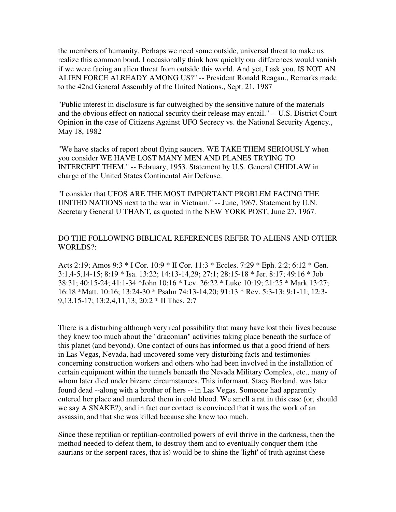the members of humanity. Perhaps we need some outside, universal threat to make us realize this common bond. I occasionally think how quickly our differences would vanish if we were facing an alien threat from outside this world. And yet, I ask you, IS NOT AN ALIEN FORCE ALREADY AMONG US?" -- President Ronald Reagan., Remarks made to the 42nd General Assembly of the United Nations., Sept. 21, 1987

"Public interest in disclosure is far outweighed by the sensitive nature of the materials and the obvious effect on national security their release may entail." -- U.S. District Court Opinion in the case of Citizens Against UFO Secrecy vs. the National Security Agency., May 18, 1982

"We have stacks of report about flying saucers. WE TAKE THEM SERIOUSLY when you consider WE HAVE LOST MANY MEN AND PLANES TRYING TO INTERCEPT THEM." -- February, 1953. Statement by U.S. General CHIDLAW in charge of the United States Continental Air Defense.

"I consider that UFOS ARE THE MOST IMPORTANT PROBLEM FACING THE UNITED NATIONS next to the war in Vietnam." -- June, 1967. Statement by U.N. Secretary General U THANT, as quoted in the NEW YORK POST, June 27, 1967.

#### DO THE FOLLOWING BIBLICAL REFERENCES REFER TO ALIENS AND OTHER WORLDS?:

Acts 2:19; Amos 9:3 \* I Cor. 10:9 \* II Cor. 11:3 \* Eccles. 7:29 \* Eph. 2:2; 6:12 \* Gen. 3:1,4-5,14-15; 8:19 \* Isa. 13:22; 14:13-14,29; 27:1; 28:15-18 \* Jer. 8:17; 49:16 \* Job 38:31; 40:15-24; 41:1-34 \*John 10:16 \* Lev. 26:22 \* Luke 10:19; 21:25 \* Mark 13:27; 16:18 \*Matt. 10:16; 13:24-30 \* Psalm 74:13-14,20; 91:13 \* Rev. 5:3-13; 9:1-11; 12:3- 9,13,15-17; 13:2,4,11,13; 20:2 \* II Thes. 2:7

There is a disturbing although very real possibility that many have lost their lives because they knew too much about the "draconian" activities taking place beneath the surface of this planet (and beyond). One contact of ours has informed us that a good friend of hers in Las Vegas, Nevada, had uncovered some very disturbing facts and testimonies concerning construction workers and others who had been involved in the installation of certain equipment within the tunnels beneath the Nevada Military Complex, etc., many of whom later died under bizarre circumstances. This informant, Stacy Borland, was later found dead --along with a brother of hers -- in Las Vegas. Someone had apparently entered her place and murdered them in cold blood. We smell a rat in this case (or, should we say A SNAKE?), and in fact our contact is convinced that it was the work of an assassin, and that she was killed because she knew too much.

Since these reptilian or reptilian-controlled powers of evil thrive in the darkness, then the method needed to defeat them, to destroy them and to eventually conquer them (the saurians or the serpent races, that is) would be to shine the 'light' of truth against these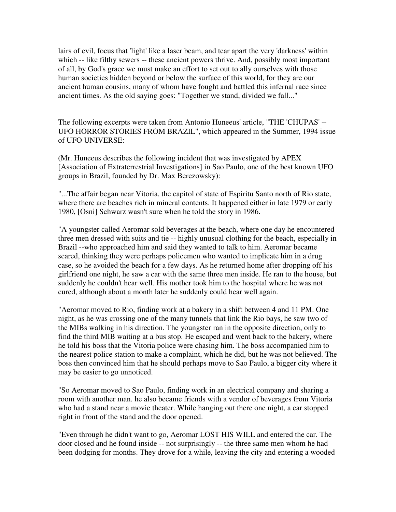lairs of evil, focus that 'light' like a laser beam, and tear apart the very 'darkness' within which -- like filthy sewers -- these ancient powers thrive. And, possibly most important of all, by God's grace we must make an effort to set out to ally ourselves with those human societies hidden beyond or below the surface of this world, for they are our ancient human cousins, many of whom have fought and battled this infernal race since ancient times. As the old saying goes: "Together we stand, divided we fall..."

The following excerpts were taken from Antonio Huneeus' article, "THE 'CHUPAS' -- UFO HORROR STORIES FROM BRAZIL", which appeared in the Summer, 1994 issue of UFO UNIVERSE:

(Mr. Huneeus describes the following incident that was investigated by APEX [Association of Extraterrestrial Investigations] in Sao Paulo, one of the best known UFO groups in Brazil, founded by Dr. Max Berezowsky):

"...The affair began near Vitoria, the capitol of state of Espiritu Santo north of Rio state, where there are beaches rich in mineral contents. It happened either in late 1979 or early 1980, [Osni] Schwarz wasn't sure when he told the story in 1986.

"A youngster called Aeromar sold beverages at the beach, where one day he encountered three men dressed with suits and tie -- highly unusual clothing for the beach, especially in Brazil --who approached him and said they wanted to talk to him. Aeromar became scared, thinking they were perhaps policemen who wanted to implicate him in a drug case, so he avoided the beach for a few days. As he returned home after dropping off his girlfriend one night, he saw a car with the same three men inside. He ran to the house, but suddenly he couldn't hear well. His mother took him to the hospital where he was not cured, although about a month later he suddenly could hear well again.

"Aeromar moved to Rio, finding work at a bakery in a shift between 4 and 11 PM. One night, as he was crossing one of the many tunnels that link the Rio bays, he saw two of the MIBs walking in his direction. The youngster ran in the opposite direction, only to find the third MIB waiting at a bus stop. He escaped and went back to the bakery, where he told his boss that the Vitoria police were chasing him. The boss accompanied him to the nearest police station to make a complaint, which he did, but he was not believed. The boss then convinced him that he should perhaps move to Sao Paulo, a bigger city where it may be easier to go unnoticed.

"So Aeromar moved to Sao Paulo, finding work in an electrical company and sharing a room with another man. he also became friends with a vendor of beverages from Vitoria who had a stand near a movie theater. While hanging out there one night, a car stopped right in front of the stand and the door opened.

"Even through he didn't want to go, Aeromar LOST HIS WILL and entered the car. The door closed and he found inside -- not surprisingly -- the three same men whom he had been dodging for months. They drove for a while, leaving the city and entering a wooded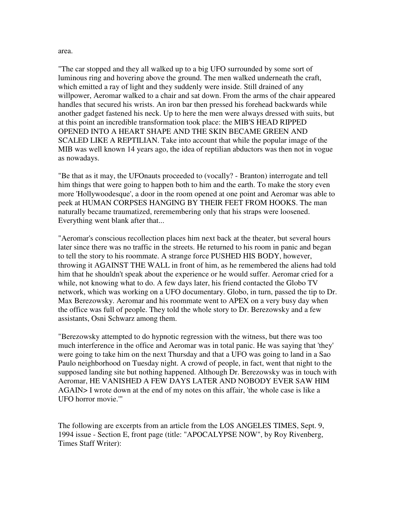area.

"The car stopped and they all walked up to a big UFO surrounded by some sort of luminous ring and hovering above the ground. The men walked underneath the craft, which emitted a ray of light and they suddenly were inside. Still drained of any willpower, Aeromar walked to a chair and sat down. From the arms of the chair appeared handles that secured his wrists. An iron bar then pressed his forehead backwards while another gadget fastened his neck. Up to here the men were always dressed with suits, but at this point an incredible transformation took place: the MIB'S HEAD RIPPED OPENED INTO A HEART SHAPE AND THE SKIN BECAME GREEN AND SCALED LIKE A REPTILIAN. Take into account that while the popular image of the MIB was well known 14 years ago, the idea of reptilian abductors was then not in vogue as nowadays.

"Be that as it may, the UFOnauts proceeded to (vocally? - Branton) interrogate and tell him things that were going to happen both to him and the earth. To make the story even more 'Hollywoodesque', a door in the room opened at one point and Aeromar was able to peek at HUMAN CORPSES HANGING BY THEIR FEET FROM HOOKS. The man naturally became traumatized, reremembering only that his straps were loosened. Everything went blank after that...

"Aeromar's conscious recollection places him next back at the theater, but several hours later since there was no traffic in the streets. He returned to his room in panic and began to tell the story to his roommate. A strange force PUSHED HIS BODY, however, throwing it AGAINST THE WALL in front of him, as he remembered the aliens had told him that he shouldn't speak about the experience or he would suffer. Aeromar cried for a while, not knowing what to do. A few days later, his friend contacted the Globo TV network, which was working on a UFO documentary. Globo, in turn, passed the tip to Dr. Max Berezowsky. Aeromar and his roommate went to APEX on a very busy day when the office was full of people. They told the whole story to Dr. Berezowsky and a few assistants, Osni Schwarz among them.

"Berezowsky attempted to do hypnotic regression with the witness, but there was too much interference in the office and Aeromar was in total panic. He was saying that 'they' were going to take him on the next Thursday and that a UFO was going to land in a Sao Paulo neighborhood on Tuesday night. A crowd of people, in fact, went that night to the supposed landing site but nothing happened. Although Dr. Berezowsky was in touch with Aeromar, HE VANISHED A FEW DAYS LATER AND NOBODY EVER SAW HIM AGAIN> I wrote down at the end of my notes on this affair, 'the whole case is like a UFO horror movie.'"

The following are excerpts from an article from the LOS ANGELES TIMES, Sept. 9, 1994 issue - Section E, front page (title: "APOCALYPSE NOW", by Roy Rivenberg, Times Staff Writer):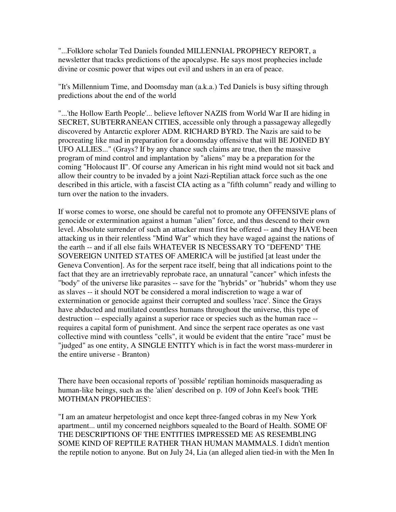"...Folklore scholar Ted Daniels founded MILLENNIAL PROPHECY REPORT, a newsletter that tracks predictions of the apocalypse. He says most prophecies include divine or cosmic power that wipes out evil and ushers in an era of peace.

"It's Millennium Time, and Doomsday man (a.k.a.) Ted Daniels is busy sifting through predictions about the end of the world

"...'the Hollow Earth People'... believe leftover NAZIS from World War II are hiding in SECRET, SUBTERRANEAN CITIES, accessible only through a passageway allegedly discovered by Antarctic explorer ADM. RICHARD BYRD. The Nazis are said to be procreating like mad in preparation for a doomsday offensive that will BE JOINED BY UFO ALLIES..." (Grays? If by any chance such claims are true, then the massive program of mind control and implantation by "aliens" may be a preparation for the coming "Holocaust II". Of course any American in his right mind would not sit back and allow their country to be invaded by a joint Nazi-Reptilian attack force such as the one described in this article, with a fascist CIA acting as a "fifth column" ready and willing to turn over the nation to the invaders.

If worse comes to worse, one should be careful not to promote any OFFENSIVE plans of genocide or extermination against a human "alien" force, and thus descend to their own level. Absolute surrender of such an attacker must first be offered -- and they HAVE been attacking us in their relentless "Mind War" which they have waged against the nations of the earth -- and if all else fails WHATEVER IS NECESSARY TO "DEFEND" THE SOVEREIGN UNITED STATES OF AMERICA will be justified [at least under the Geneva Convention]. As for the serpent race itself, being that all indications point to the fact that they are an irretrievably reprobate race, an unnatural "cancer" which infests the "body" of the universe like parasites -- save for the "hybrids" or "hubrids" whom they use as slaves -- it should NOT be considered a moral indiscretion to wage a war of extermination or genocide against their corrupted and soulless 'race'. Since the Grays have abducted and mutilated countless humans throughout the universe, this type of destruction -- especially against a superior race or species such as the human race - requires a capital form of punishment. And since the serpent race operates as one vast collective mind with countless "cells", it would be evident that the entire "race" must be "judged" as one entity, A SINGLE ENTITY which is in fact the worst mass-murderer in the entire universe - Branton)

There have been occasional reports of 'possible' reptilian hominoids masquerading as human-like beings, such as the 'alien' described on p. 109 of John Keel's book 'THE MOTHMAN PROPHECIES':

"I am an amateur herpetologist and once kept three-fanged cobras in my New York apartment... until my concerned neighbors squealed to the Board of Health. SOME OF THE DESCRIPTIONS OF THE ENTITIES IMPRESSED ME AS RESEMBLING SOME KIND OF REPTILE RATHER THAN HUMAN MAMMALS. I didn't mention the reptile notion to anyone. But on July 24, Lia (an alleged alien tied-in with the Men In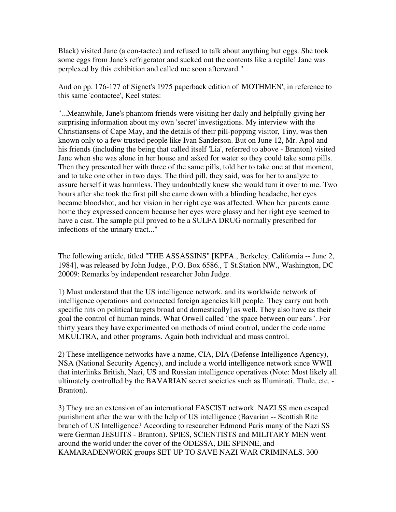Black) visited Jane (a con-tactee) and refused to talk about anything but eggs. She took some eggs from Jane's refrigerator and sucked out the contents like a reptile! Jane was perplexed by this exhibition and called me soon afterward."

And on pp. 176-177 of Signet's 1975 paperback edition of 'MOTHMEN', in reference to this same 'contactee', Keel states:

"...Meanwhile, Jane's phantom friends were visiting her daily and helpfully giving her surprising information about my own 'secret' investigations. My interview with the Christiansens of Cape May, and the details of their pill-popping visitor, Tiny, was then known only to a few trusted people like Ivan Sanderson. But on June 12, Mr. Apol and his friends (including the being that called itself 'Lia', referred to above - Branton) visited Jane when she was alone in her house and asked for water so they could take some pills. Then they presented her with three of the same pills, told her to take one at that moment, and to take one other in two days. The third pill, they said, was for her to analyze to assure herself it was harmless. They undoubtedly knew she would turn it over to me. Two hours after she took the first pill she came down with a blinding headache, her eyes became bloodshot, and her vision in her right eye was affected. When her parents came home they expressed concern because her eyes were glassy and her right eye seemed to have a cast. The sample pill proved to be a SULFA DRUG normally prescribed for infections of the urinary tract..."

The following article, titled "THE ASSASSINS" [KPFA., Berkeley, California -- June 2, 1984], was released by John Judge., P.O. Box 6586., T St.Station NW., Washington, DC 20009: Remarks by independent researcher John Judge.

1) Must understand that the US intelligence network, and its worldwide network of intelligence operations and connected foreign agencies kill people. They carry out both specific hits on political targets broad and domestically] as well. They also have as their goal the control of human minds. What Orwell called "the space between our ears". For thirty years they have experimented on methods of mind control, under the code name MKULTRA, and other programs. Again both individual and mass control.

2) These intelligence networks have a name, CIA, DIA (Defense Intelligence Agency), NSA (National Security Agency), and include a world intelligence network since WWII that interlinks British, Nazi, US and Russian intelligence operatives (Note: Most likely all ultimately controlled by the BAVARIAN secret societies such as Illuminati, Thule, etc. - Branton).

3) They are an extension of an international FASCIST network. NAZI SS men escaped punishment after the war with the help of US intelligence (Bavarian -- Scottish Rite branch of US Intelligence? According to researcher Edmond Paris many of the Nazi SS were German JESUITS - Branton). SPIES, SCIENTISTS and MILITARY MEN went around the world under the cover of the ODESSA, DIE SPINNE, and KAMARADENWORK groups SET UP TO SAVE NAZI WAR CRIMINALS. 300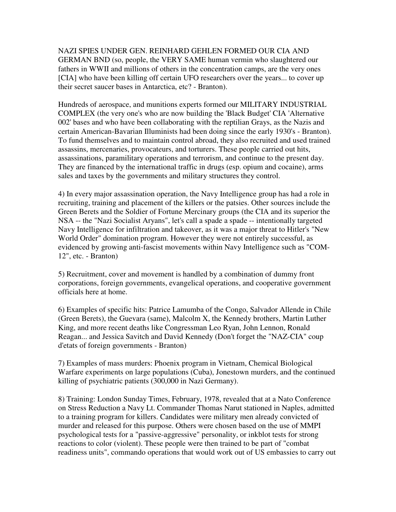NAZI SPIES UNDER GEN. REINHARD GEHLEN FORMED OUR CIA AND GERMAN BND (so, people, the VERY SAME human vermin who slaughtered our fathers in WWII and millions of others in the concentration camps, are the very ones [CIA] who have been killing off certain UFO researchers over the years... to cover up their secret saucer bases in Antarctica, etc? - Branton).

Hundreds of aerospace, and munitions experts formed our MILITARY INDUSTRIAL COMPLEX (the very one's who are now building the 'Black Budget' CIA 'Alternative 002' bases and who have been collaborating with the reptilian Grays, as the Nazis and certain American-Bavarian Illuminists had been doing since the early 1930's - Branton). To fund themselves and to maintain control abroad, they also recruited and used trained assassins, mercenaries, provocateurs, and torturers. These people carried out hits, assassinations, paramilitary operations and terrorism, and continue to the present day. They are financed by the international traffic in drugs (esp. opium and cocaine), arms sales and taxes by the governments and military structures they control.

4) In every major assassination operation, the Navy Intelligence group has had a role in recruiting, training and placement of the killers or the patsies. Other sources include the Green Berets and the Soldier of Fortune Mercinary groups (the CIA and its superior the NSA -- the "Nazi Socialist Aryans", let's call a spade a spade -- intentionally targeted Navy Intelligence for infiltration and takeover, as it was a major threat to Hitler's "New World Order" domination program. However they were not entirely successful, as evidenced by growing anti-fascist movements within Navy Intelligence such as "COM-12", etc. - Branton)

5) Recruitment, cover and movement is handled by a combination of dummy front corporations, foreign governments, evangelical operations, and cooperative government officials here at home.

6) Examples of specific hits: Patrice Lamumba of the Congo, Salvador Allende in Chile (Green Berets), the Guevara (same), Malcolm X, the Kennedy brothers, Martin Luther King, and more recent deaths like Congressman Leo Ryan, John Lennon, Ronald Reagan... and Jessica Savitch and David Kennedy (Don't forget the "NAZ-CIA" coup d'etats of foreign governments - Branton)

7) Examples of mass murders: Phoenix program in Vietnam, Chemical Biological Warfare experiments on large populations (Cuba), Jonestown murders, and the continued killing of psychiatric patients (300,000 in Nazi Germany).

8) Training: London Sunday Times, February, 1978, revealed that at a Nato Conference on Stress Reduction a Navy Lt. Commander Thomas Narut stationed in Naples, admitted to a training program for killers. Candidates were military men already convicted of murder and released for this purpose. Others were chosen based on the use of MMPI psychological tests for a "passive-aggressive" personality, or inkblot tests for strong reactions to color (violent). These people were then trained to be part of "combat readiness units", commando operations that would work out of US embassies to carry out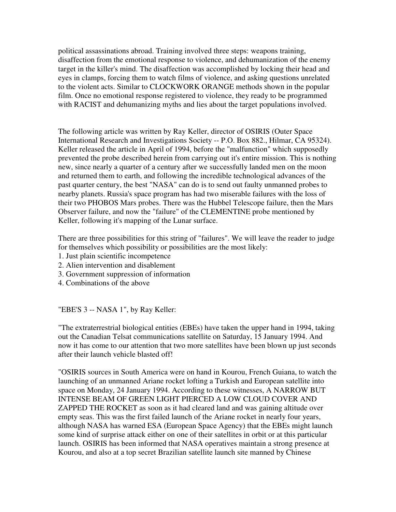political assassinations abroad. Training involved three steps: weapons training, disaffection from the emotional response to violence, and dehumanization of the enemy target in the killer's mind. The disaffection was accomplished by locking their head and eyes in clamps, forcing them to watch films of violence, and asking questions unrelated to the violent acts. Similar to CLOCKWORK ORANGE methods shown in the popular film. Once no emotional response registered to violence, they ready to be programmed with RACIST and dehumanizing myths and lies about the target populations involved.

The following article was written by Ray Keller, director of OSIRIS (Outer Space International Research and Investigations Society -- P.O. Box 882., Hilmar, CA 95324). Keller released the article in April of 1994, before the "malfunction" which supposedly prevented the probe described herein from carrying out it's entire mission. This is nothing new, since nearly a quarter of a century after we successfully landed men on the moon and returned them to earth, and following the incredible technological advances of the past quarter century, the best "NASA" can do is to send out faulty unmanned probes to nearby planets. Russia's space program has had two miserable failures with the loss of their two PHOBOS Mars probes. There was the Hubbel Telescope failure, then the Mars Observer failure, and now the "failure" of the CLEMENTINE probe mentioned by Keller, following it's mapping of the Lunar surface.

There are three possibilities for this string of "failures". We will leave the reader to judge for themselves which possibility or possibilities are the most likely:

- 1. Just plain scientific incompetence
- 2. Alien intervention and disablement
- 3. Government suppression of information
- 4. Combinations of the above

#### "EBE'S 3 -- NASA 1", by Ray Keller:

"The extraterrestrial biological entities (EBEs) have taken the upper hand in 1994, taking out the Canadian Telsat communications satellite on Saturday, 15 January 1994. And now it has come to our attention that two more satellites have been blown up just seconds after their launch vehicle blasted off!

"OSIRIS sources in South America were on hand in Kourou, French Guiana, to watch the launching of an unmanned Ariane rocket lofting a Turkish and European satellite into space on Monday, 24 January 1994. According to these witnesses, A NARROW BUT INTENSE BEAM OF GREEN LIGHT PIERCED A LOW CLOUD COVER AND ZAPPED THE ROCKET as soon as it had cleared land and was gaining altitude over empty seas. This was the first failed launch of the Ariane rocket in nearly four years, although NASA has warned ESA (European Space Agency) that the EBEs might launch some kind of surprise attack either on one of their satellites in orbit or at this particular launch. OSIRIS has been informed that NASA operatives maintain a strong presence at Kourou, and also at a top secret Brazilian satellite launch site manned by Chinese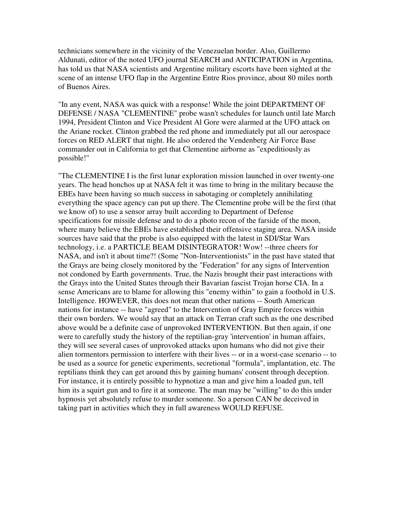technicians somewhere in the vicinity of the Venezuelan border. Also, Guillermo Aldunati, editor of the noted UFO journal SEARCH and ANTICIPATION in Argentina, has told us that NASA scientists and Argentine military escorts have been sighted at the scene of an intense UFO flap in the Argentine Entre Rios province, about 80 miles north of Buenos Aires.

"In any event, NASA was quick with a response! While the joint DEPARTMENT OF DEFENSE / NASA "CLEMENTINE" probe wasn't schedules for launch until late March 1994, President Clinton and Vice President Al Gore were alarmed at the UFO attack on the Ariane rocket. Clinton grabbed the red phone and immediately put all our aerospace forces on RED ALERT that night. He also ordered the Vendenberg Air Force Base commander out in California to get that Clementine airborne as "expeditiously as possible!"

"The CLEMENTINE I is the first lunar exploration mission launched in over twenty-one years. The head honchos up at NASA felt it was time to bring in the military because the EBEs have been having so much success in sabotaging or completely annihilating everything the space agency can put up there. The Clementine probe will be the first (that we know of) to use a sensor array built according to Department of Defense specifications for missile defense and to do a photo recon of the farside of the moon, where many believe the EBEs have established their offensive staging area. NASA inside sources have said that the probe is also equipped with the latest in SDI/Star Wars technology, i.e. a PARTICLE BEAM DISINTEGRATOR! Wow! --three cheers for NASA, and isn't it about time?! (Some "Non-Interventionists" in the past have stated that the Grays are being closely monitored by the "Federation" for any signs of Intervention not condoned by Earth governments. True, the Nazis brought their past interactions with the Grays into the United States through their Bavarian fascist Trojan horse CIA. In a sense Americans are to blame for allowing this "enemy within" to gain a foothold in U.S. Intelligence. HOWEVER, this does not mean that other nations -- South American nations for instance -- have "agreed" to the Intervention of Gray Empire forces within their own borders. We would say that an attack on Terran craft such as the one described above would be a definite case of unprovoked INTERVENTION. But then again, if one were to carefully study the history of the reptilian-gray 'intervention' in human affairs, they will see several cases of unprovoked attacks upon humans who did not give their alien tormentors permission to interfere with their lives -- or in a worst-case scenario -- to be used as a source for genetic experiments, secretional "formula", implantation, etc. The reptilians think they can get around this by gaining humans' consent through deception. For instance, it is entirely possible to hypnotize a man and give him a loaded gun, tell him its a squirt gun and to fire it at someone. The man may be "willing" to do this under hypnosis yet absolutely refuse to murder someone. So a person CAN be deceived in taking part in activities which they in full awareness WOULD REFUSE.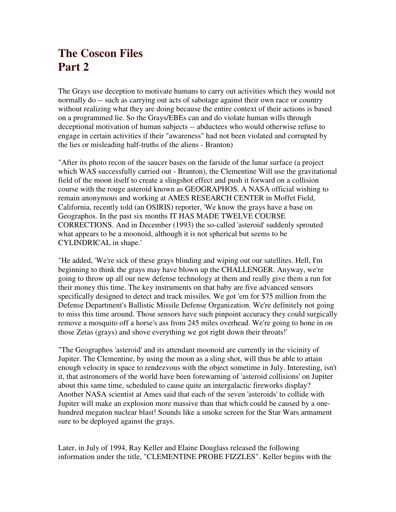### **The Coscon Files Part 2**

The Grays use deception to motivate humans to carry out activities which they would not normally do -- such as carrying out acts of sabotage against their own race or country without realizing what they are doing because the entire context of their actions is based on a programmed lie. So the Grays/EBEs can and do violate human wills through deceptional motivation of human subjects -- abductees who would otherwise refuse to engage in certain activities if their "awareness" had not been violated and corrupted by the lies or misleading half-truths of the aliens - Branton)

"After its photo recon of the saucer bases on the farside of the lunar surface (a project which WAS successfully carried out - Branton), the Clementine Will use the gravitational field of the moon itself to create a slingshot effect and push it forward on a collision course with the rouge asteroid known as GEOGRAPHOS. A NASA official wishing to remain anonymous and working at AMES RESEARCH CENTER in Moffet Field, California, recently told (an OSIRIS) reporter, 'We know the grays have a base on Geographos. In the past six months IT HAS MADE TWELVE COURSE CORRECTIONS. And in December (1993) the so-called 'asteroid' suddenly sprouted what appears to be a moonoid, although it is not spherical but seems to be CYLINDRICAL in shape.'

"He added, 'We're sick of these grays blinding and wiping out our satellites. Hell, I'm beginning to think the grays may have blown up the CHALLENGER. Anyway, we're going to throw up all our new defense technology at them and really give them a run for their money this time. The key instruments on that baby are five advanced sensors specifically designed to detect and track missiles. We got 'em for \$75 million from the Defense Department's Ballistic Missile Defense Organization. We're definitely not going to miss this time around. Those sensors have such pinpoint accuracy they could surgically remove a mosquito off a horse's ass from 245 miles overhead. We're going to hone in on those Zetas (grays) and shove everything we got right down their throats!'

"The Geographos 'asteroid' and its attendant moonoid are currently in the vicinity of Jupiter. The Clementine, by using the moon as a sling shot, will thus be able to attain enough velocity in space to rendezvous with the object sometime in July. Interesting, isn't it, that astronomers of the world have been forewarning of 'asteroid collisions' on Jupiter about this same time, scheduled to cause quite an intergalactic fireworks display? Another NASA scientist at Ames said that each of the seven 'asteroids' to collide with Jupiter will make an explosion more massive than that which could be caused by a onehundred megaton nuclear blast! Sounds like a smoke screen for the Star Wars armament sure to be deployed against the grays.

Later, in July of 1994, Ray Keller and Elaine Douglass released the following information under the title, "CLEMENTINE PROBE FIZZLES". Keller begins with the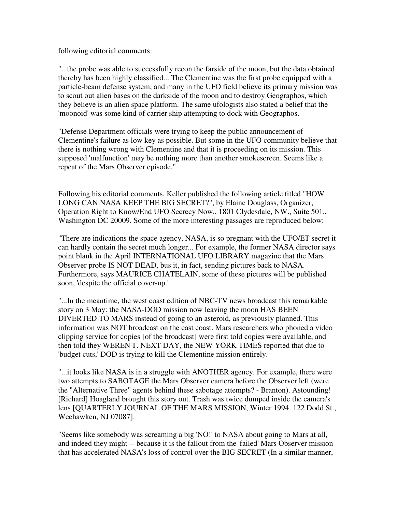following editorial comments:

"...the probe was able to successfully recon the farside of the moon, but the data obtained thereby has been highly classified... The Clementine was the first probe equipped with a particle-beam defense system, and many in the UFO field believe its primary mission was to scout out alien bases on the darkside of the moon and to destroy Geographos, which they believe is an alien space platform. The same ufologists also stated a belief that the 'moonoid' was some kind of carrier ship attempting to dock with Geographos.

"Defense Department officials were trying to keep the public announcement of Clementine's failure as low key as possible. But some in the UFO community believe that there is nothing wrong with Clementine and that it is proceeding on its mission. This supposed 'malfunction' may be nothing more than another smokescreen. Seems like a repeat of the Mars Observer episode."

Following his editorial comments, Keller published the following article titled "HOW LONG CAN NASA KEEP THE BIG SECRET?", by Elaine Douglass, Organizer, Operation Right to Know/End UFO Secrecy Now., 1801 Clydesdale, NW., Suite 501., Washington DC 20009. Some of the more interesting passages are reproduced below:

"There are indications the space agency, NASA, is so pregnant with the UFO/ET secret it can hardly contain the secret much longer... For example, the former NASA director says point blank in the April INTERNATIONAL UFO LIBRARY magazine that the Mars Observer probe IS NOT DEAD, bus it, in fact, sending pictures back to NASA. Furthermore, says MAURICE CHATELAIN, some of these pictures will be published soon, 'despite the official cover-up.'

"...In the meantime, the west coast edition of NBC-TV news broadcast this remarkable story on 3 May: the NASA-DOD mission now leaving the moon HAS BEEN DIVERTED TO MARS instead of going to an asteroid, as previously planned. This information was NOT broadcast on the east coast. Mars researchers who phoned a video clipping service for copies [of the broadcast] were first told copies were available, and then told they WEREN'T. NEXT DAY, the NEW YORK TIMES reported that due to 'budget cuts,' DOD is trying to kill the Clementine mission entirely.

"...it looks like NASA is in a struggle with ANOTHER agency. For example, there were two attempts to SABOTAGE the Mars Observer camera before the Observer left (were the "Alternative Three" agents behind these sabotage attempts? - Branton). Astounding! [Richard] Hoagland brought this story out. Trash was twice dumped inside the camera's lens [QUARTERLY JOURNAL OF THE MARS MISSION, Winter 1994. 122 Dodd St., Weehawken, NJ 07087].

"Seems like somebody was screaming a big 'NO!' to NASA about going to Mars at all, and indeed they might -- because it is the fallout from the 'failed' Mars Observer mission that has accelerated NASA's loss of control over the BIG SECRET (In a similar manner,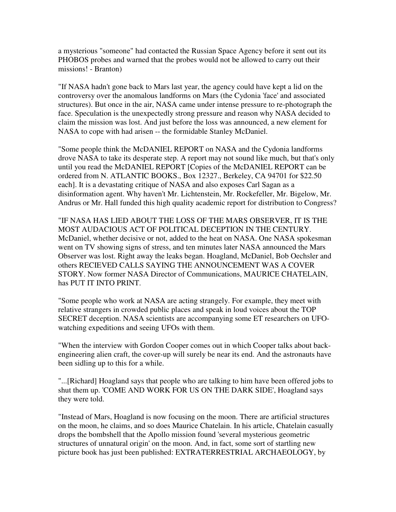a mysterious "someone" had contacted the Russian Space Agency before it sent out its PHOBOS probes and warned that the probes would not be allowed to carry out their missions! - Branton)

"If NASA hadn't gone back to Mars last year, the agency could have kept a lid on the controversy over the anomalous landforms on Mars (the Cydonia 'face' and associated structures). But once in the air, NASA came under intense pressure to re-photograph the face. Speculation is the unexpectedly strong pressure and reason why NASA decided to claim the mission was lost. And just before the loss was announced, a new element for NASA to cope with had arisen -- the formidable Stanley McDaniel.

"Some people think the McDANIEL REPORT on NASA and the Cydonia landforms drove NASA to take its desperate step. A report may not sound like much, but that's only until you read the McDANIEL REPORT [Copies of the McDANIEL REPORT can be ordered from N. ATLANTIC BOOKS., Box 12327., Berkeley, CA 94701 for \$22.50 each]. It is a devastating critique of NASA and also exposes Carl Sagan as a disinformation agent. Why haven't Mr. Lichtenstein, Mr. Rockefeller, Mr. Bigelow, Mr. Andrus or Mr. Hall funded this high quality academic report for distribution to Congress?

"IF NASA HAS LIED ABOUT THE LOSS OF THE MARS OBSERVER, IT IS THE MOST AUDACIOUS ACT OF POLITICAL DECEPTION IN THE CENTURY. McDaniel, whether decisive or not, added to the heat on NASA. One NASA spokesman went on TV showing signs of stress, and ten minutes later NASA announced the Mars Observer was lost. Right away the leaks began. Hoagland, McDaniel, Bob Oechsler and others RECIEVED CALLS SAYING THE ANNOUNCEMENT WAS A COVER STORY. Now former NASA Director of Communications, MAURICE CHATELAIN, has PUT IT INTO PRINT.

"Some people who work at NASA are acting strangely. For example, they meet with relative strangers in crowded public places and speak in loud voices about the TOP SECRET deception. NASA scientists are accompanying some ET researchers on UFOwatching expeditions and seeing UFOs with them.

"When the interview with Gordon Cooper comes out in which Cooper talks about backengineering alien craft, the cover-up will surely be near its end. And the astronauts have been sidling up to this for a while.

"...[Richard] Hoagland says that people who are talking to him have been offered jobs to shut them up. 'COME AND WORK FOR US ON THE DARK SIDE', Hoagland says they were told.

"Instead of Mars, Hoagland is now focusing on the moon. There are artificial structures on the moon, he claims, and so does Maurice Chatelain. In his article, Chatelain casually drops the bombshell that the Apollo mission found 'several mysterious geometric structures of unnatural origin' on the moon. And, in fact, some sort of startling new picture book has just been published: EXTRATERRESTRIAL ARCHAEOLOGY, by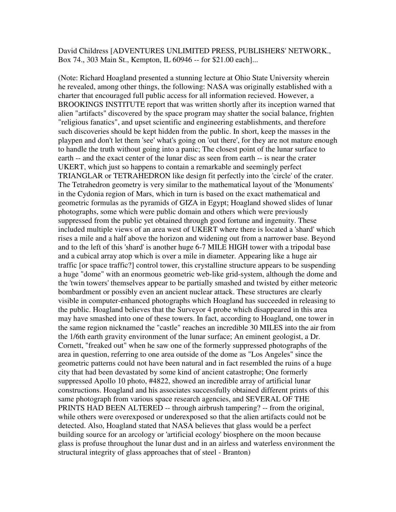David Childress [ADVENTURES UNLIMITED PRESS, PUBLISHERS' NETWORK., Box 74., 303 Main St., Kempton, IL 60946 -- for \$21.00 each]...

(Note: Richard Hoagland presented a stunning lecture at Ohio State University wherein he revealed, among other things, the following: NASA was originally established with a charter that encouraged full public access for all information recieved. However, a BROOKINGS INSTITUTE report that was written shortly after its inception warned that alien "artifacts" discovered by the space program may shatter the social balance, frighten "religious fanatics", and upset scientific and engineering establishments, and therefore such discoveries should be kept hidden from the public. In short, keep the masses in the playpen and don't let them 'see' what's going on 'out there', for they are not mature enough to handle the truth without going into a panic; The closest point of the lunar surface to earth -- and the exact center of the lunar disc as seen from earth -- is near the crater UKERT, which just so happens to contain a remarkable and seemingly perfect TRIANGLAR or TETRAHEDRON like design fit perfectly into the 'circle' of the crater. The Tetrahedron geometry is very similar to the mathematical layout of the 'Monuments' in the Cydonia region of Mars, which in turn is based on the exact mathematical and geometric formulas as the pyramids of GIZA in Egypt; Hoagland showed slides of lunar photographs, some which were public domain and others which were previously suppressed from the public yet obtained through good fortune and ingenuity. These included multiple views of an area west of UKERT where there is located a 'shard' which rises a mile and a half above the horizon and widening out from a narrower base. Beyond and to the left of this 'shard' is another huge 6-7 MILE HIGH tower with a tripodal base and a cubical array atop which is over a mile in diameter. Appearing like a huge air traffic [or space traffic?] control tower, this crystalline structure appears to be suspending a huge "dome" with an enormous geometric web-like grid-system, although the dome and the 'twin towers' themselves appear to be partially smashed and twisted by either meteoric bombardment or possibly even an ancient nuclear attack. These structures are clearly visible in computer-enhanced photographs which Hoagland has succeeded in releasing to the public. Hoagland believes that the Surveyor 4 probe which disappeared in this area may have smashed into one of these towers. In fact, according to Hoagland, one tower in the same region nicknamed the "castle" reaches an incredible 30 MILES into the air from the 1/6th earth gravity environment of the lunar surface; An eminent geologist, a Dr. Cornett, "freaked out" when he saw one of the formerly suppressed photographs of the area in question, referring to one area outside of the dome as "Los Angeles" since the geometric patterns could not have been natural and in fact resembled the ruins of a huge city that had been devastated by some kind of ancient catastrophe; One formerly suppressed Apollo 10 photo, #4822, showed an incredible array of artificial lunar constructions. Hoagland and his associates successfully obtained different prints of this same photograph from various space research agencies, and SEVERAL OF THE PRINTS HAD BEEN ALTERED -- through airbrush tampering? -- from the original, while others were overexposed or underexposed so that the alien artifacts could not be detected. Also, Hoagland stated that NASA believes that glass would be a perfect building source for an arcology or 'artificial ecology' biosphere on the moon because glass is profuse throughout the lunar dust and in an airless and waterless environment the structural integrity of glass approaches that of steel - Branton)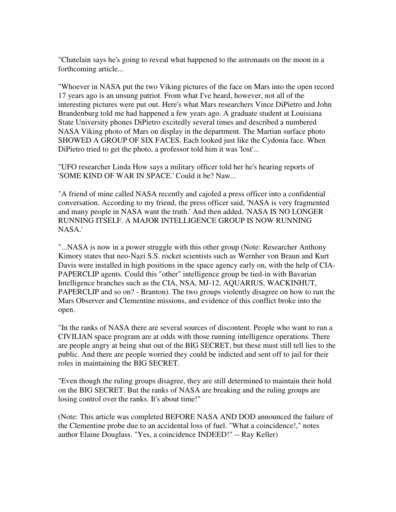"Chatelain says he's going to reveal what happened to the astronauts on the moon in a forthcoming article...

"Whoever in NASA put the two Viking pictures of the face on Mars into the open record 17 years ago is an unsung patriot. From what I've heard, however, not all of the interesting pictures were put out. Here's what Mars researchers Vince DiPietro and John Brandenburg told me had happened a few years ago. A graduate student at Louisiana State University phones DiPietro excitedly several times and described a numbered NASA Viking photo of Mars on display in the department. The Martian surface photo SHOWED A GROUP OF SIX FACES. Each looked just like the Cydonia face. When DiPietro tried to get the photo, a professor told him it was 'lost'...

"UFO researcher Linda How says a military officer told her he's hearing reports of 'SOME KIND OF WAR IN SPACE.' Could it be? Naw...

"A friend of mine called NASA recently and cajoled a press officer into a confidential conversation. According to my friend, the press officer said, 'NASA is very fragmented and many people in NASA want the truth.' And then added, 'NASA IS NO LONGER RUNNING ITSELF. A MAJOR INTELLIGENCE GROUP IS NOW RUNNING NASA.'

"...NASA is now in a power struggle with this other group (Note: Researcher Anthony Kimory states that neo-Nazi S.S. rocket scientists such as Wernher von Braun and Kurt Davis were installed in high positions in the space agency early on, with the help of CIA-PAPERCLIP agents. Could this "other" intelligence group be tied-in with Bavarian Intelligence branches such as the CIA, NSA, MJ-12, AQUARIUS, WACKINHUT, PAPERCLIP and so on? - Branton). The two groups violently disagree on how to run the Mars Observer and Clementine missions, and evidence of this conflict broke into the open.

"In the ranks of NASA there are several sources of discontent. People who want to run a CIVILIAN space program are at odds with those running intelligence operations. There are people angry at being shut out of the BIG SECRET, but these must still tell lies to the public. And there are people worried they could be indicted and sent off to jail for their roles in maintaining the BIG SECRET.

"Even though the ruling groups disagree, they are still determined to maintain their hold on the BIG SECRET. But the ranks of NASA are breaking and the ruling groups are losing control over the ranks. It's about time!"

(Note: This article was completed BEFORE NASA AND DOD announced the failure of the Clementine probe due to an accidental loss of fuel. "What a coincidence!," notes author Elaine Douglass. "Yes, a coincidence INDEED!" -- Ray Keller)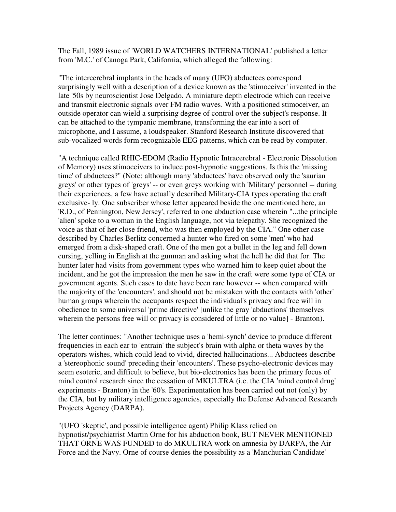The Fall, 1989 issue of 'WORLD WATCHERS INTERNATIONAL' published a letter from 'M.C.' of Canoga Park, California, which alleged the following:

"The intercerebral implants in the heads of many (UFO) abductees correspond surprisingly well with a description of a device known as the 'stimoceiver' invented in the late '50s by neuroscientist Jose Delgado. A miniature depth electrode which can receive and transmit electronic signals over FM radio waves. With a positioned stimoceiver, an outside operator can wield a surprising degree of control over the subject's response. It can be attached to the tympanic membrane, transforming the ear into a sort of microphone, and I assume, a loudspeaker. Stanford Research Institute discovered that sub-vocalized words form recognizable EEG patterns, which can be read by computer.

"A technique called RHIC-EDOM (Radio Hypnotic Intracerebral - Electronic Dissolution of Memory) uses stimoceivers to induce post-hypnotic suggestions. Is this the 'missing time' of abductees?" (Note: although many 'abductees' have observed only the 'saurian greys' or other types of 'greys' -- or even greys working with 'Military' personnel -- during their experiences, a few have actually described Military-CIA types operating the craft exclusive- ly. One subscriber whose letter appeared beside the one mentioned here, an 'R.D., of Pennington, New Jersey', referred to one abduction case wherein "...the principle 'alien' spoke to a woman in the English language, not via telepathy. She recognized the voice as that of her close friend, who was then employed by the CIA." One other case described by Charles Berlitz concerned a hunter who fired on some 'men' who had emerged from a disk-shaped craft. One of the men got a bullet in the leg and fell down cursing, yelling in English at the gunman and asking what the hell he did that for. The hunter later had visits from government types who warned him to keep quiet about the incident, and he got the impression the men he saw in the craft were some type of CIA or government agents. Such cases to date have been rare however -- when compared with the majority of the 'encounters', and should not be mistaken with the contacts with 'other' human groups wherein the occupants respect the individual's privacy and free will in obedience to some universal 'prime directive' [unlike the gray 'abductions' themselves wherein the persons free will or privacy is considered of little or no value] - Branton).

The letter continues: "Another technique uses a 'hemi-synch' device to produce different frequencies in each ear to 'entrain' the subject's brain with alpha or theta waves by the operators wishes, which could lead to vivid, directed hallucinations... Abductees describe a 'stereophonic sound' preceding their 'encounters'. These psycho-electronic devices may seem esoteric, and difficult to believe, but bio-electronics has been the primary focus of mind control research since the cessation of MKULTRA (i.e. the CIA 'mind control drug' experiments - Branton) in the '60's. Experimentation has been carried out not (only) by the CIA, but by military intelligence agencies, especially the Defense Advanced Research Projects Agency (DARPA).

"(UFO 'skeptic', and possible intelligence agent) Philip Klass relied on hypnotist/psychiatrist Martin Orne for his abduction book, BUT NEVER MENTIONED THAT ORNE WAS FUNDED to do MKULTRA work on amnesia by DARPA, the Air Force and the Navy. Orne of course denies the possibility as a 'Manchurian Candidate'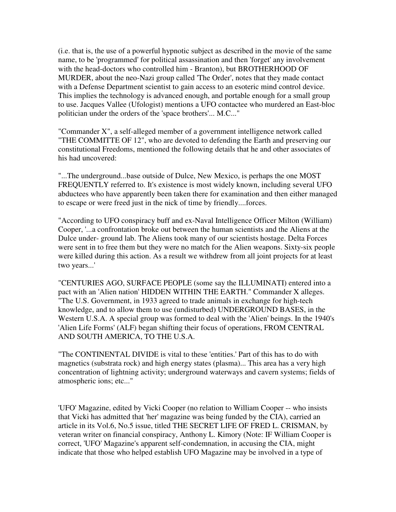(i.e. that is, the use of a powerful hypnotic subject as described in the movie of the same name, to be 'programmed' for political assassination and then 'forget' any involvement with the head-doctors who controlled him - Branton), but BROTHERHOOD OF MURDER, about the neo-Nazi group called 'The Order', notes that they made contact with a Defense Department scientist to gain access to an esoteric mind control device. This implies the technology is advanced enough, and portable enough for a small group to use. Jacques Vallee (Ufologist) mentions a UFO contactee who murdered an East-bloc politician under the orders of the 'space brothers'... M.C..."

"Commander X", a self-alleged member of a government intelligence network called "THE COMMITTE OF 12", who are devoted to defending the Earth and preserving our constitutional Freedoms, mentioned the following details that he and other associates of his had uncovered:

"...The underground...base outside of Dulce, New Mexico, is perhaps the one MOST FREQUENTLY referred to. It's existence is most widely known, including several UFO abductees who have apparently been taken there for examination and then either managed to escape or were freed just in the nick of time by friendly....forces.

"According to UFO conspiracy buff and ex-Naval Intelligence Officer Milton (William) Cooper, '...a confrontation broke out between the human scientists and the Aliens at the Dulce under- ground lab. The Aliens took many of our scientists hostage. Delta Forces were sent in to free them but they were no match for the Alien weapons. Sixty-six people were killed during this action. As a result we withdrew from all joint projects for at least two years...'

"CENTURIES AGO, SURFACE PEOPLE (some say the ILLUMINATI) entered into a pact with an 'Alien nation' HIDDEN WITHIN THE EARTH." Commander X alleges. "The U.S. Government, in 1933 agreed to trade animals in exchange for high-tech knowledge, and to allow them to use (undisturbed) UNDERGROUND BASES, in the Western U.S.A. A special group was formed to deal with the 'Alien' beings. In the 1940's 'Alien Life Forms' (ALF) began shifting their focus of operations, FROM CENTRAL AND SOUTH AMERICA, TO THE U.S.A.

"The CONTINENTAL DIVIDE is vital to these 'entities.' Part of this has to do with magnetics (substrata rock) and high energy states (plasma)... This area has a very high concentration of lightning activity; underground waterways and cavern systems; fields of atmospheric ions; etc..."

'UFO' Magazine, edited by Vicki Cooper (no relation to William Cooper -- who insists that Vicki has admitted that 'her' magazine was being funded by the CIA), carried an article in its Vol.6, No.5 issue, titled THE SECRET LIFE OF FRED L. CRISMAN, by veteran writer on financial conspiracy, Anthony L. Kimory (Note: IF William Cooper is correct, 'UFO' Magazine's apparent self-condemnation, in accusing the CIA, might indicate that those who helped establish UFO Magazine may be involved in a type of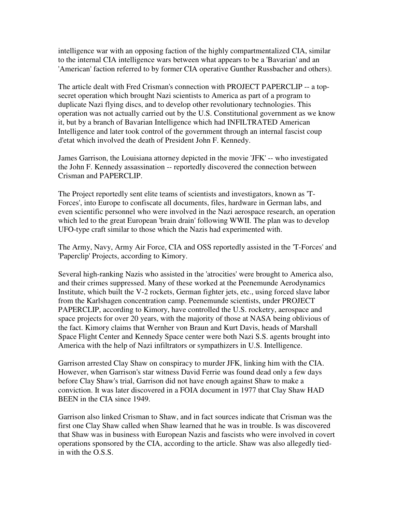intelligence war with an opposing faction of the highly compartmentalized CIA, similar to the internal CIA intelligence wars between what appears to be a 'Bavarian' and an 'American' faction referred to by former CIA operative Gunther Russbacher and others).

The article dealt with Fred Crisman's connection with PROJECT PAPERCLIP -- a topsecret operation which brought Nazi scientists to America as part of a program to duplicate Nazi flying discs, and to develop other revolutionary technologies. This operation was not actually carried out by the U.S. Constitutional government as we know it, but by a branch of Bavarian Intelligence which had INFILTRATED American Intelligence and later took control of the government through an internal fascist coup d'etat which involved the death of President John F. Kennedy.

James Garrison, the Louisiana attorney depicted in the movie 'JFK' -- who investigated the John F. Kennedy assassination -- reportedly discovered the connection between Crisman and PAPERCLIP.

The Project reportedly sent elite teams of scientists and investigators, known as 'T-Forces', into Europe to confiscate all documents, files, hardware in German labs, and even scientific personnel who were involved in the Nazi aerospace research, an operation which led to the great European 'brain drain' following WWII. The plan was to develop UFO-type craft similar to those which the Nazis had experimented with.

The Army, Navy, Army Air Force, CIA and OSS reportedly assisted in the 'T-Forces' and 'Paperclip' Projects, according to Kimory.

Several high-ranking Nazis who assisted in the 'atrocities' were brought to America also, and their crimes suppressed. Many of these worked at the Peenemunde Aerodynamics Institute, which built the V-2 rockets, German fighter jets, etc., using forced slave labor from the Karlshagen concentration camp. Peenemunde scientists, under PROJECT PAPERCLIP, according to Kimory, have controlled the U.S. rocketry, aerospace and space projects for over 20 years, with the majority of those at NASA being oblivious of the fact. Kimory claims that Wernher von Braun and Kurt Davis, heads of Marshall Space Flight Center and Kennedy Space center were both Nazi S.S. agents brought into America with the help of Nazi infiltrators or sympathizers in U.S. Intelligence.

Garrison arrested Clay Shaw on conspiracy to murder JFK, linking him with the CIA. However, when Garrison's star witness David Ferrie was found dead only a few days before Clay Shaw's trial, Garrison did not have enough against Shaw to make a conviction. It was later discovered in a FOIA document in 1977 that Clay Shaw HAD BEEN in the CIA since 1949.

Garrison also linked Crisman to Shaw, and in fact sources indicate that Crisman was the first one Clay Shaw called when Shaw learned that he was in trouble. Is was discovered that Shaw was in business with European Nazis and fascists who were involved in covert operations sponsored by the CIA, according to the article. Shaw was also allegedly tiedin with the O.S.S.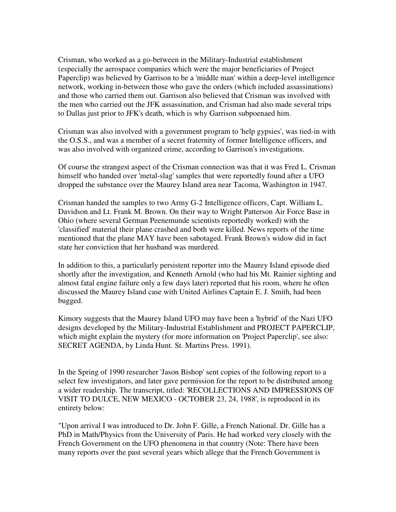Crisman, who worked as a go-between in the Military-Industrial establishment (especially the aerospace companies which were the major beneficiaries of Project Paperclip) was believed by Garrison to be a 'middle man' within a deep-level intelligence network, working in-between those who gave the orders (which included assassinations) and those who carried them out. Garrison also believed that Crisman was involved with the men who carried out the JFK assassination, and Crisman had also made several trips to Dallas just prior to JFK's death, which is why Garrison subpoenaed him.

Crisman was also involved with a government program to 'help gypsies', was tied-in with the O.S.S., and was a member of a secret fraternity of former Intelligence officers, and was also involved with organized crime, according to Garrison's investigations.

Of course the strangest aspect of the Crisman connection was that it was Fred L. Crisman himself who handed over 'metal-slag' samples that were reportedly found after a UFO dropped the substance over the Maurey Island area near Tacoma, Washington in 1947.

Crisman handed the samples to two Army G-2 Intelligence officers, Capt. William L. Davidson and Lt. Frank M. Brown. On their way to Wright Patterson Air Force Base in Ohio (where several German Peenemunde scientists reportedly worked) with the 'classified' material their plane crashed and both were killed. News reports of the time mentioned that the plane MAY have been sabotaged. Frank Brown's widow did in fact state her conviction that her husband was murdered.

In addition to this, a particularly persistent reporter into the Maurey Island episode died shortly after the investigation, and Kenneth Arnold (who had his Mt. Rainier sighting and almost fatal engine failure only a few days later) reported that his room, where he often discussed the Maurey Island case with United Airlines Captain E. J. Smith, had been bugged.

Kimory suggests that the Maurey Island UFO may have been a 'hybrid' of the Nazi UFO designs developed by the Military-Industrial Establishment and PROJECT PAPERCLIP, which might explain the mystery (for more information on 'Project Paperclip', see also: SECRET AGENDA, by Linda Hunt. St. Martins Press. 1991).

In the Spring of 1990 researcher 'Jason Bishop' sent copies of the following report to a select few investigators, and later gave permission for the report to be distributed among a wider readership. The transcript, titled: 'RECOLLECTIONS AND IMPRESSIONS OF VISIT TO DULCE, NEW MEXICO - OCTOBER 23, 24, 1988', is reproduced in its entirety below:

"Upon arrival I was introduced to Dr. John F. Gille, a French National. Dr. Gille has a PhD in Math/Physics from the University of Paris. He had worked very closely with the French Government on the UFO phenomena in that country (Note: There have been many reports over the past several years which allege that the French Government is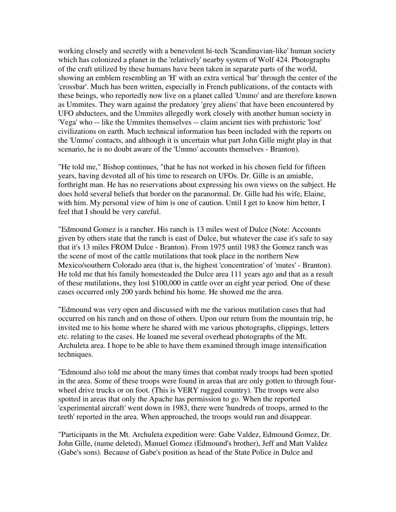working closely and secretly with a benevolent hi-tech 'Scandinavian-like' human society which has colonized a planet in the 'relatively' nearby system of Wolf 424. Photographs of the craft utilized by these humans have been taken in separate parts of the world, showing an emblem resembling an 'H' with an extra vertical 'bar' through the center of the 'crossbar'. Much has been written, especially in French publications, of the contacts with these beings, who reportedly now live on a planet called 'Ummo' and are therefore known as Ummites. They warn against the predatory 'grey aliens' that have been encountered by UFO abductees, and the Ummites allegedly work closely with another human society in 'Vega' who -- like the Ummites themselves -- claim ancient ties with prehistoric 'lost' civilizations on earth. Much technical information has been included with the reports on the 'Ummo' contacts, and although it is uncertain what part John Gille might play in that scenario, he is no doubt aware of the 'Ummo' accounts themselves - Branton).

"He told me," Bishop continues, "that he has not worked in his chosen field for fifteen years, having devoted all of his time to research on UFOs. Dr. Gille is an amiable, forthright man. He has no reservations about expressing his own views on the subject. He does hold several beliefs that border on the paranormal. Dr. Gille had his wife, Elaine, with him. My personal view of him is one of caution. Until I get to know him better, I feel that I should be very careful.

"Edmound Gomez is a rancher. His ranch is 13 miles west of Dulce (Note: Accounts given by others state that the ranch is east of Dulce, but whatever the case it's safe to say that it's 13 miles FROM Dulce - Branton). From 1975 until 1983 the Gomez ranch was the scene of most of the cattle mutilations that took place in the northern New Mexico/southern Colorado area (that is, the highest 'concentration' of 'mutes' - Branton). He told me that his family homesteaded the Dulce area 111 years ago and that as a result of these mutilations, they lost \$100,000 in cattle over an eight year period. One of these cases occurred only 200 yards behind his home. He showed me the area.

"Edmound was very open and discussed with me the various mutilation cases that had occurred on his ranch and on those of others. Upon our return from the mountain trip, he invited me to his home where he shared with me various photographs, clippings, letters etc. relating to the cases. He loaned me several overhead photographs of the Mt. Archuleta area. I hope to be able to have them examined through image intensification techniques.

"Edmound also told me about the many times that combat ready troops had been spotted in the area. Some of these troops were found in areas that are only gotten to through fourwheel drive trucks or on foot. (This is VERY rugged country). The troops were also spotted in areas that only the Apache has permission to go. When the reported 'experimental aircraft' went down in 1983, there were 'hundreds of troops, armed to the teeth' reported in the area. When approached, the troops would run and disappear.

"Participants in the Mt. Archuleta expedition were: Gabe Valdez, Edmound Gomez, Dr. John Gille, (name deleted), Manuel Gomez (Edmound's brother), Jeff and Matt Valdez (Gabe's sons). Because of Gabe's position as head of the State Police in Dulce and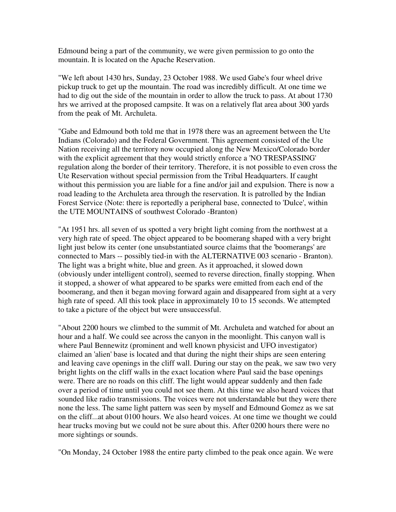Edmound being a part of the community, we were given permission to go onto the mountain. It is located on the Apache Reservation.

"We left about 1430 hrs, Sunday, 23 October 1988. We used Gabe's four wheel drive pickup truck to get up the mountain. The road was incredibly difficult. At one time we had to dig out the side of the mountain in order to allow the truck to pass. At about 1730 hrs we arrived at the proposed campsite. It was on a relatively flat area about 300 yards from the peak of Mt. Archuleta.

"Gabe and Edmound both told me that in 1978 there was an agreement between the Ute Indians (Colorado) and the Federal Government. This agreement consisted of the Ute Nation receiving all the territory now occupied along the New Mexico/Colorado border with the explicit agreement that they would strictly enforce a 'NO TRESPASSING' regulation along the border of their territory. Therefore, it is not possible to even cross the Ute Reservation without special permission from the Tribal Headquarters. If caught without this permission you are liable for a fine and/or jail and expulsion. There is now a road leading to the Archuleta area through the reservation. It is patrolled by the Indian Forest Service (Note: there is reportedly a peripheral base, connected to 'Dulce', within the UTE MOUNTAINS of southwest Colorado -Branton)

"At 1951 hrs. all seven of us spotted a very bright light coming from the northwest at a very high rate of speed. The object appeared to be boomerang shaped with a very bright light just below its center (one unsubstantiated source claims that the 'boomerangs' are connected to Mars -- possibly tied-in with the ALTERNATIVE 003 scenario - Branton). The light was a bright white, blue and green. As it approached, it slowed down (obviously under intelligent control), seemed to reverse direction, finally stopping. When it stopped, a shower of what appeared to be sparks were emitted from each end of the boomerang, and then it began moving forward again and disappeared from sight at a very high rate of speed. All this took place in approximately 10 to 15 seconds. We attempted to take a picture of the object but were unsuccessful.

"About 2200 hours we climbed to the summit of Mt. Archuleta and watched for about an hour and a half. We could see across the canyon in the moonlight. This canyon wall is where Paul Bennewitz (prominent and well known physicist and UFO investigator) claimed an 'alien' base is located and that during the night their ships are seen entering and leaving cave openings in the cliff wall. During our stay on the peak, we saw two very bright lights on the cliff walls in the exact location where Paul said the base openings were. There are no roads on this cliff. The light would appear suddenly and then fade over a period of time until you could not see them. At this time we also heard voices that sounded like radio transmissions. The voices were not understandable but they were there none the less. The same light pattern was seen by myself and Edmound Gomez as we sat on the cliff...at about 0100 hours. We also heard voices. At one time we thought we could hear trucks moving but we could not be sure about this. After 0200 hours there were no more sightings or sounds.

"On Monday, 24 October 1988 the entire party climbed to the peak once again. We were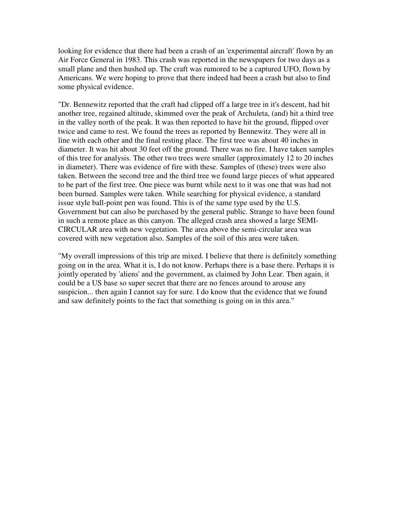looking for evidence that there had been a crash of an 'experimental aircraft' flown by an Air Force General in 1983. This crash was reported in the newspapers for two days as a small plane and then hushed up. The craft was rumored to be a captured UFO, flown by Americans. We were hoping to prove that there indeed had been a crash but also to find some physical evidence.

"Dr. Bennewitz reported that the craft had clipped off a large tree in it's descent, had hit another tree, regained altitude, skimmed over the peak of Archuleta, (and) hit a third tree in the valley north of the peak. It was then reported to have hit the ground, flipped over twice and came to rest. We found the trees as reported by Bennewitz. They were all in line with each other and the final resting place. The first tree was about 40 inches in diameter. It was hit about 30 feet off the ground. There was no fire. I have taken samples of this tree for analysis. The other two trees were smaller (approximately 12 to 20 inches in diameter). There was evidence of fire with these. Samples of (these) trees were also taken. Between the second tree and the third tree we found large pieces of what appeared to be part of the first tree. One piece was burnt while next to it was one that was had not been burned. Samples were taken. While searching for physical evidence, a standard issue style ball-point pen was found. This is of the same type used by the U.S. Government but can also be purchased by the general public. Strange to have been found in such a remote place as this canyon. The alleged crash area showed a large SEMI-CIRCULAR area with new vegetation. The area above the semi-circular area was covered with new vegetation also. Samples of the soil of this area were taken.

"My overall impressions of this trip are mixed. I believe that there is definitely something going on in the area. What it is, I do not know. Perhaps there is a base there. Perhaps it is jointly operated by 'aliens' and the government, as claimed by John Lear. Then again, it could be a US base so super secret that there are no fences around to arouse any suspicion... then again I cannot say for sure. I do know that the evidence that we found and saw definitely points to the fact that something is going on in this area."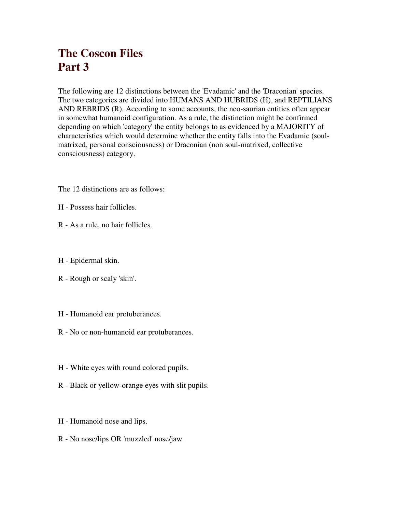# **The Coscon Files Part 3**

The following are 12 distinctions between the 'Evadamic' and the 'Draconian' species. The two categories are divided into HUMANS AND HUBRIDS (H), and REPTILIANS AND REBRIDS (R). According to some accounts, the neo-saurian entities often appear in somewhat humanoid configuration. As a rule, the distinction might be confirmed depending on which 'category' the entity belongs to as evidenced by a MAJORITY of characteristics which would determine whether the entity falls into the Evadamic (soulmatrixed, personal consciousness) or Draconian (non soul-matrixed, collective consciousness) category.

The 12 distinctions are as follows:

H - Possess hair follicles.

- R As a rule, no hair follicles.
- H Epidermal skin.
- R Rough or scaly 'skin'.
- H Humanoid ear protuberances.
- R No or non-humanoid ear protuberances.
- H White eyes with round colored pupils.
- R Black or yellow-orange eyes with slit pupils.
- H Humanoid nose and lips.
- R No nose/lips OR 'muzzled' nose/jaw.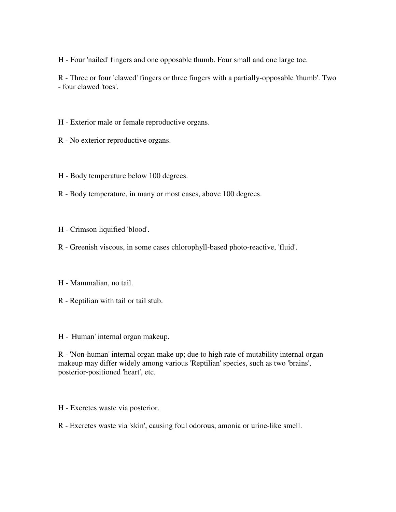H - Four 'nailed' fingers and one opposable thumb. Four small and one large toe.

R - Three or four 'clawed' fingers or three fingers with a partially-opposable 'thumb'. Two - four clawed 'toes'.

- H Exterior male or female reproductive organs.
- R No exterior reproductive organs.
- H Body temperature below 100 degrees.
- R Body temperature, in many or most cases, above 100 degrees.
- H Crimson liquified 'blood'.
- R Greenish viscous, in some cases chlorophyll-based photo-reactive, 'fluid'.
- H Mammalian, no tail.
- R Reptilian with tail or tail stub.
- H 'Human' internal organ makeup.

R - 'Non-human' internal organ make up; due to high rate of mutability internal organ makeup may differ widely among various 'Reptilian' species, such as two 'brains', posterior-positioned 'heart', etc.

- H Excretes waste via posterior.
- R Excretes waste via 'skin', causing foul odorous, amonia or urine-like smell.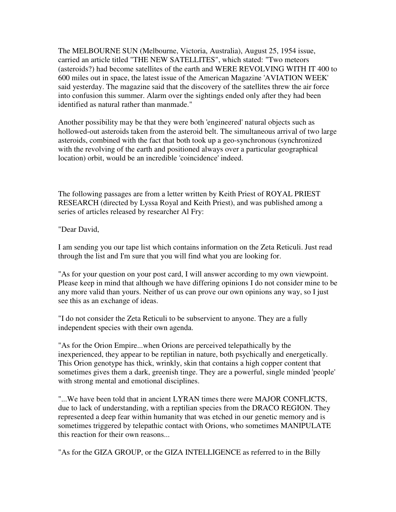The MELBOURNE SUN (Melbourne, Victoria, Australia), August 25, 1954 issue, carried an article titled "THE NEW SATELLITES", which stated: "Two meteors (asteroids?) had become satellites of the earth and WERE REVOLVING WITH IT 400 to 600 miles out in space, the latest issue of the American Magazine 'AVIATION WEEK' said yesterday. The magazine said that the discovery of the satellites threw the air force into confusion this summer. Alarm over the sightings ended only after they had been identified as natural rather than manmade."

Another possibility may be that they were both 'engineered' natural objects such as hollowed-out asteroids taken from the asteroid belt. The simultaneous arrival of two large asteroids, combined with the fact that both took up a geo-synchronous (synchronized with the revolving of the earth and positioned always over a particular geographical location) orbit, would be an incredible 'coincidence' indeed.

The following passages are from a letter written by Keith Priest of ROYAL PRIEST RESEARCH (directed by Lyssa Royal and Keith Priest), and was published among a series of articles released by researcher Al Fry:

"Dear David,

I am sending you our tape list which contains information on the Zeta Reticuli. Just read through the list and I'm sure that you will find what you are looking for.

"As for your question on your post card, I will answer according to my own viewpoint. Please keep in mind that although we have differing opinions I do not consider mine to be any more valid than yours. Neither of us can prove our own opinions any way, so I just see this as an exchange of ideas.

"I do not consider the Zeta Reticuli to be subservient to anyone. They are a fully independent species with their own agenda.

"As for the Orion Empire...when Orions are perceived telepathically by the inexperienced, they appear to be reptilian in nature, both psychically and energetically. This Orion genotype has thick, wrinkly, skin that contains a high copper content that sometimes gives them a dark, greenish tinge. They are a powerful, single minded 'people' with strong mental and emotional disciplines.

"...We have been told that in ancient LYRAN times there were MAJOR CONFLICTS, due to lack of understanding, with a reptilian species from the DRACO REGION. They represented a deep fear within humanity that was etched in our genetic memory and is sometimes triggered by telepathic contact with Orions, who sometimes MANIPULATE this reaction for their own reasons...

"As for the GIZA GROUP, or the GIZA INTELLIGENCE as referred to in the Billy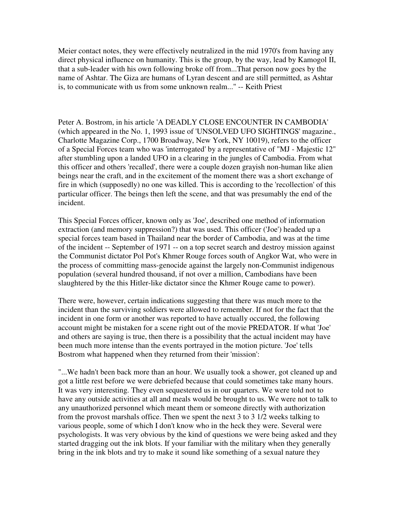Meier contact notes, they were effectively neutralized in the mid 1970's from having any direct physical influence on humanity. This is the group, by the way, lead by Kamogol II, that a sub-leader with his own following broke off from...That person now goes by the name of Ashtar. The Giza are humans of Lyran descent and are still permitted, as Ashtar is, to communicate with us from some unknown realm..." -- Keith Priest

Peter A. Bostrom, in his article 'A DEADLY CLOSE ENCOUNTER IN CAMBODIA' (which appeared in the No. 1, 1993 issue of 'UNSOLVED UFO SIGHTINGS' magazine., Charlotte Magazine Corp., 1700 Broadway, New York, NY 10019), refers to the officer of a Special Forces team who was 'interrogated' by a representative of "MJ - Majestic 12" after stumbling upon a landed UFO in a clearing in the jungles of Cambodia. From what this officer and others 'recalled', there were a couple dozen grayish non-human like alien beings near the craft, and in the excitement of the moment there was a short exchange of fire in which (supposedly) no one was killed. This is according to the 'recollection' of this particular officer. The beings then left the scene, and that was presumably the end of the incident.

This Special Forces officer, known only as 'Joe', described one method of information extraction (and memory suppression?) that was used. This officer ('Joe') headed up a special forces team based in Thailand near the border of Cambodia, and was at the time of the incident -- September of 1971 -- on a top secret search and destroy mission against the Communist dictator Pol Pot's Khmer Rouge forces south of Angkor Wat, who were in the process of committing mass-genocide against the largely non-Communist indigenous population (several hundred thousand, if not over a million, Cambodians have been slaughtered by the this Hitler-like dictator since the Khmer Rouge came to power).

There were, however, certain indications suggesting that there was much more to the incident than the surviving soldiers were allowed to remember. If not for the fact that the incident in one form or another was reported to have actually occured, the following account might be mistaken for a scene right out of the movie PREDATOR. If what 'Joe' and others are saying is true, then there is a possibility that the actual incident may have been much more intense than the events portrayed in the motion picture. 'Joe' tells Bostrom what happened when they returned from their 'mission':

"...We hadn't been back more than an hour. We usually took a shower, got cleaned up and got a little rest before we were debriefed because that could sometimes take many hours. It was very interesting. They even sequestered us in our quarters. We were told not to have any outside activities at all and meals would be brought to us. We were not to talk to any unauthorized personnel which meant them or someone directly with authorization from the provost marshals office. Then we spent the next 3 to 3 1/2 weeks talking to various people, some of which I don't know who in the heck they were. Several were psychologists. It was very obvious by the kind of questions we were being asked and they started dragging out the ink blots. If your familiar with the military when they generally bring in the ink blots and try to make it sound like something of a sexual nature they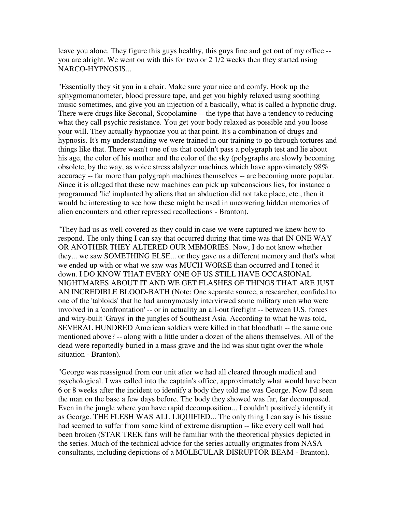leave you alone. They figure this guys healthy, this guys fine and get out of my office - you are alright. We went on with this for two or 2 1/2 weeks then they started using NARCO-HYPNOSIS...

"Essentially they sit you in a chair. Make sure your nice and comfy. Hook up the sphygmomanometer, blood pressure tape, and get you highly relaxed using soothing music sometimes, and give you an injection of a basically, what is called a hypnotic drug. There were drugs like Seconal, Scopolamine -- the type that have a tendency to reducing what they call psychic resistance. You get your body relaxed as possible and you loose your will. They actually hypnotize you at that point. It's a combination of drugs and hypnosis. It's my understanding we were trained in our training to go through tortures and things like that. There wasn't one of us that couldn't pass a polygraph test and lie about his age, the color of his mother and the color of the sky (polygraphs are slowly becoming obsolete, by the way, as voice stress alalyzer machines which have approximately 98% accuracy -- far more than polygraph machines themselves -- are becoming more popular. Since it is alleged that these new machines can pick up subconscious lies, for instance a programmed 'lie' implanted by aliens that an abduction did not take place, etc., then it would be interesting to see how these might be used in uncovering hidden memories of alien encounters and other repressed recollections - Branton).

"They had us as well covered as they could in case we were captured we knew how to respond. The only thing I can say that occurred during that time was that IN ONE WAY OR ANOTHER THEY ALTERED OUR MEMORIES. Now, I do not know whether they... we saw SOMETHING ELSE... or they gave us a different memory and that's what we ended up with or what we saw was MUCH WORSE than occurred and I toned it down. I DO KNOW THAT EVERY ONE OF US STILL HAVE OCCASIONAL NIGHTMARES ABOUT IT AND WE GET FLASHES OF THINGS THAT ARE JUST AN INCREDIBLE BLOOD-BATH (Note: One separate source, a researcher, confided to one of the 'tabloids' that he had anonymously intervirwed some military men who were involved in a 'confrontation' -- or in actuality an all-out firefight -- between U.S. forces and wiry-built 'Grays' in the jungles of Southeast Asia. According to what he was told, SEVERAL HUNDRED American soldiers were killed in that bloodbath -- the same one mentioned above? -- along with a little under a dozen of the aliens themselves. All of the dead were reportedly buried in a mass grave and the lid was shut tight over the whole situation - Branton).

"George was reassigned from our unit after we had all cleared through medical and psychological. I was called into the captain's office, approximately what would have been 6 or 8 weeks after the incident to identify a body they told me was George. Now I'd seen the man on the base a few days before. The body they showed was far, far decomposed. Even in the jungle where you have rapid decomposition... I couldn't positively identify it as George. THE FLESH WAS ALL LIQUIFIED... The only thing I can say is his tissue had seemed to suffer from some kind of extreme disruption -- like every cell wall had been broken (STAR TREK fans will be familiar with the theoretical physics depicted in the series. Much of the technical advice for the series actually originates from NASA consultants, including depictions of a MOLECULAR DISRUPTOR BEAM - Branton).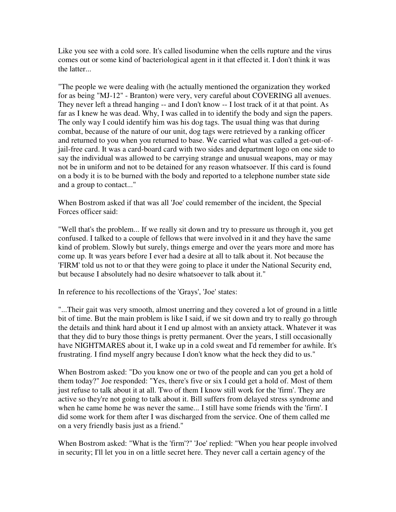Like you see with a cold sore. It's called lisodumine when the cells rupture and the virus comes out or some kind of bacteriological agent in it that effected it. I don't think it was the latter...

"The people we were dealing with (he actually mentioned the organization they worked for as being "MJ-12" - Branton) were very, very careful about COVERING all avenues. They never left a thread hanging -- and I don't know -- I lost track of it at that point. As far as I knew he was dead. Why, I was called in to identify the body and sign the papers. The only way I could identify him was his dog tags. The usual thing was that during combat, because of the nature of our unit, dog tags were retrieved by a ranking officer and returned to you when you returned to base. We carried what was called a get-out-ofjail-free card. It was a card-board card with two sides and department logo on one side to say the individual was allowed to be carrying strange and unusual weapons, may or may not be in uniform and not to be detained for any reason whatsoever. If this card is found on a body it is to be burned with the body and reported to a telephone number state side and a group to contact..."

When Bostrom asked if that was all 'Joe' could remember of the incident, the Special Forces officer said:

"Well that's the problem... If we really sit down and try to pressure us through it, you get confused. I talked to a couple of fellows that were involved in it and they have the same kind of problem. Slowly but surely, things emerge and over the years more and more has come up. It was years before I ever had a desire at all to talk about it. Not because the 'FIRM' told us not to or that they were going to place it under the National Security end, but because I absolutely had no desire whatsoever to talk about it."

In reference to his recollections of the 'Grays', 'Joe' states:

"...Their gait was very smooth, almost unerring and they covered a lot of ground in a little bit of time. But the main problem is like I said, if we sit down and try to really go through the details and think hard about it I end up almost with an anxiety attack. Whatever it was that they did to bury those things is pretty permanent. Over the years, I still occasionally have NIGHTMARES about it, I wake up in a cold sweat and I'd remember for awhile. It's frustrating. I find myself angry because I don't know what the heck they did to us."

When Bostrom asked: "Do you know one or two of the people and can you get a hold of them today?" Joe responded: "Yes, there's five or six I could get a hold of. Most of them just refuse to talk about it at all. Two of them I know still work for the 'firm'. They are active so they're not going to talk about it. Bill suffers from delayed stress syndrome and when he came home he was never the same... I still have some friends with the 'firm'. I did some work for them after I was discharged from the service. One of them called me on a very friendly basis just as a friend."

When Bostrom asked: "What is the 'firm'?" 'Joe' replied: "When you hear people involved in security; I'll let you in on a little secret here. They never call a certain agency of the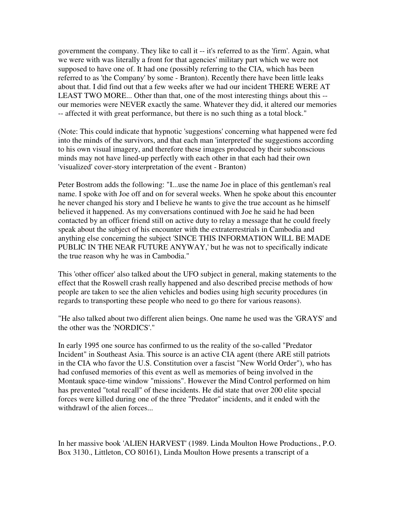government the company. They like to call it -- it's referred to as the 'firm'. Again, what we were with was literally a front for that agencies' military part which we were not supposed to have one of. It had one (possibly referring to the CIA, which has been referred to as 'the Company' by some - Branton). Recently there have been little leaks about that. I did find out that a few weeks after we had our incident THERE WERE AT LEAST TWO MORE... Other than that, one of the most interesting things about this - our memories were NEVER exactly the same. Whatever they did, it altered our memories -- affected it with great performance, but there is no such thing as a total block."

(Note: This could indicate that hypnotic 'suggestions' concerning what happened were fed into the minds of the survivors, and that each man 'interpreted' the suggestions according to his own visual imagery, and therefore these images produced by their subconscious minds may not have lined-up perfectly with each other in that each had their own 'visualized' cover-story interpretation of the event - Branton)

Peter Bostrom adds the following: "I...use the name Joe in place of this gentleman's real name. I spoke with Joe off and on for several weeks. When he spoke about this encounter he never changed his story and I believe he wants to give the true account as he himself believed it happened. As my conversations continued with Joe he said he had been contacted by an officer friend still on active duty to relay a message that he could freely speak about the subject of his encounter with the extraterrestrials in Cambodia and anything else concerning the subject 'SINCE THIS INFORMATION WILL BE MADE PUBLIC IN THE NEAR FUTURE ANYWAY,' but he was not to specifically indicate the true reason why he was in Cambodia."

This 'other officer' also talked about the UFO subject in general, making statements to the effect that the Roswell crash really happened and also described precise methods of how people are taken to see the alien vehicles and bodies using high security procedures (in regards to transporting these people who need to go there for various reasons).

"He also talked about two different alien beings. One name he used was the 'GRAYS' and the other was the 'NORDICS'."

In early 1995 one source has confirmed to us the reality of the so-called "Predator Incident" in Southeast Asia. This source is an active CIA agent (there ARE still patriots in the CIA who favor the U.S. Constitution over a fascist "New World Order"), who has had confused memories of this event as well as memories of being involved in the Montauk space-time window "missions". However the Mind Control performed on him has prevented "total recall" of these incidents. He did state that over 200 elite special forces were killed during one of the three "Predator" incidents, and it ended with the withdrawl of the alien forces...

In her massive book 'ALIEN HARVEST' (1989. Linda Moulton Howe Productions., P.O. Box 3130., Littleton, CO 80161), Linda Moulton Howe presents a transcript of a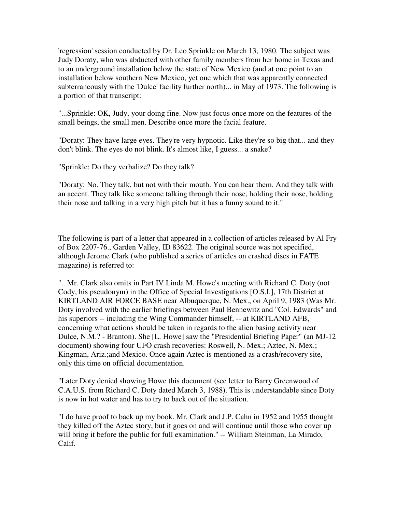'regression' session conducted by Dr. Leo Sprinkle on March 13, 1980. The subject was Judy Doraty, who was abducted with other family members from her home in Texas and to an underground installation below the state of New Mexico (and at one point to an installation below southern New Mexico, yet one which that was apparently connected subterraneously with the 'Dulce' facility further north)... in May of 1973. The following is a portion of that transcript:

"...Sprinkle: OK, Judy, your doing fine. Now just focus once more on the features of the small beings, the small men. Describe once more the facial feature.

"Doraty: They have large eyes. They're very hypnotic. Like they're so big that... and they don't blink. The eyes do not blink. It's almost like, I guess... a snake?

"Sprinkle: Do they verbalize? Do they talk?

"Doraty: No. They talk, but not with their mouth. You can hear them. And they talk with an accent. They talk like someone talking through their nose, holding their nose, holding their nose and talking in a very high pitch but it has a funny sound to it."

The following is part of a letter that appeared in a collection of articles released by Al Fry of Box 2207-76., Garden Valley, ID 83622. The original source was not specified, although Jerome Clark (who published a series of articles on crashed discs in FATE magazine) is referred to:

"...Mr. Clark also omits in Part IV Linda M. Howe's meeting with Richard C. Doty (not Cody, his pseudonym) in the Office of Special Investigations [O.S.I.], 17th District at KIRTLAND AIR FORCE BASE near Albuquerque, N. Mex., on April 9, 1983 (Was Mr. Doty involved with the earlier briefings between Paul Bennewitz and "Col. Edwards" and his superiors -- including the Wing Commander himself, -- at KIRTLAND AFB, concerning what actions should be taken in regards to the alien basing activity near Dulce, N.M.? - Branton). She [L. Howe] saw the "Presidential Briefing Paper" (an MJ-12 document) showing four UFO crash recoveries: Roswell, N. Mex.; Aztec, N. Mex.; Kingman, Ariz.;and Mexico. Once again Aztec is mentioned as a crash/recovery site, only this time on official documentation.

"Later Doty denied showing Howe this document (see letter to Barry Greenwood of C.A.U.S. from Richard C. Doty dated March 3, 1988). This is understandable since Doty is now in hot water and has to try to back out of the situation.

"I do have proof to back up my book. Mr. Clark and J.P. Cahn in 1952 and 1955 thought they killed off the Aztec story, but it goes on and will continue until those who cover up will bring it before the public for full examination." -- William Steinman, La Mirado, Calif.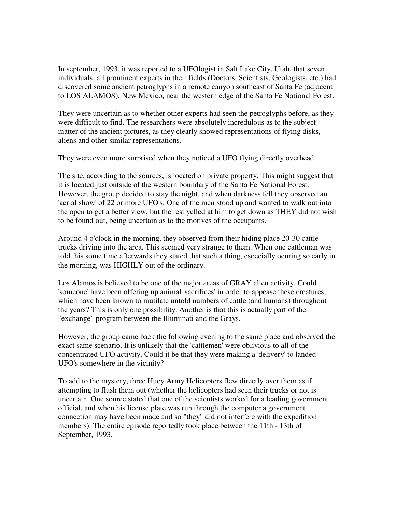In september, 1993, it was reported to a UFOlogist in Salt Lake City, Utah, that seven individuals, all prominent experts in their fields (Doctors, Scientists, Geologists, etc.) had discovered some ancient petroglyphs in a remote canyon southeast of Santa Fe (adjacent to LOS ALAMOS), New Mexico, near the western edge of the Santa Fe National Forest.

They were uncertain as to whether other experts had seen the petroglyphs before, as they were difficult to find. The researchers were absolutely incredulous as to the subjectmatter of the ancient pictures, as they clearly showed representations of flying disks, aliens and other similar representations.

They were even more surprised when they noticed a UFO flying directly overhead.

The site, according to the sources, is located on private property. This might suggest that it is located just outside of the western boundary of the Santa Fe National Forest. However, the group decided to stay the night, and when darkness fell they observed an 'aerial show' of 22 or more UFO's. One of the men stood up and wanted to walk out into the open to get a better view, but the rest yelled at him to get down as THEY did not wish to be found out, being uncertain as to the motives of the occupants.

Around 4 o'clock in the morning, they observed from their hiding place 20-30 cattle trucks driving into the area. This seemed very strange to them. When one cattleman was told this some time afterwards they stated that such a thing, esoecially ocuring so early in the morning, was HIGHLY out of the ordinary.

Los Alamos is believed to be one of the major areas of GRAY alien activity. Could 'someone' have been offering up animal 'sacrifices' in order to appease these creatures, which have been known to mutilate untold numbers of cattle (and humans) throughout the years? This is only one possibility. Another is that this is actually part of the "exchange" program between the Illuminati and the Grays.

However, the group came back the following evening to the same place and observed the exact same scenario. It is unlikely that the 'cattlemen' were oblivious to all of the concentrated UFO activity. Could it be that they were making a 'delivery' to landed UFO's somewhere in the vicinity?

To add to the mystery, three Huey Army Helicopters flew directly over them as if attempting to flush them out (whether the helicopters had seen their trucks or not is uncertain. One source stated that one of the scientists worked for a leading government official, and when his license plate was run through the computer a government connection may have been made and so "they" did not interfere with the expedition members). The entire episode reportedly took place between the 11th - 13th of September, 1993.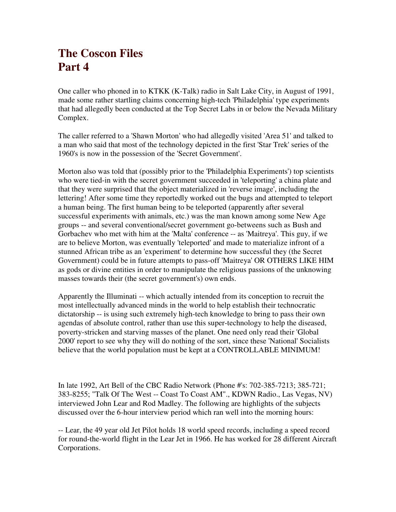## **The Coscon Files Part 4**

One caller who phoned in to KTKK (K-Talk) radio in Salt Lake City, in August of 1991, made some rather startling claims concerning high-tech 'Philadelphia' type experiments that had allegedly been conducted at the Top Secret Labs in or below the Nevada Military Complex.

The caller referred to a 'Shawn Morton' who had allegedly visited 'Area 51' and talked to a man who said that most of the technology depicted in the first 'Star Trek' series of the 1960's is now in the possession of the 'Secret Government'.

Morton also was told that (possibly prior to the 'Philadelphia Experiments') top scientists who were tied-in with the secret government succeeded in 'teleporting' a china plate and that they were surprised that the object materialized in 'reverse image', including the lettering! After some time they reportedly worked out the bugs and attempted to teleport a human being. The first human being to be teleported (apparently after several successful experiments with animals, etc.) was the man known among some New Age groups -- and several conventional/secret government go-betweens such as Bush and Gorbachev who met with him at the 'Malta' conference -- as 'Maitreya'. This guy, if we are to believe Morton, was eventually 'teleported' and made to materialize infront of a stunned African tribe as an 'experiment' to determine how successful they (the Secret Government) could be in future attempts to pass-off 'Maitreya' OR OTHERS LIKE HIM as gods or divine entities in order to manipulate the religious passions of the unknowing masses towards their (the secret government's) own ends.

Apparently the Illuminati -- which actually intended from its conception to recruit the most intellectually advanced minds in the world to help establish their technocratic dictatorship -- is using such extremely high-tech knowledge to bring to pass their own agendas of absolute control, rather than use this super-technology to help the diseased, poverty-stricken and starving masses of the planet. One need only read their 'Global 2000' report to see why they will do nothing of the sort, since these 'National' Socialists believe that the world population must be kept at a CONTROLLABLE MINIMUM!

In late 1992, Art Bell of the CBC Radio Network (Phone #'s: 702-385-7213; 385-721; 383-8255; "Talk Of The West -- Coast To Coast AM"., KDWN Radio., Las Vegas, NV) interviewed John Lear and Rod Madley. The following are highlights of the subjects discussed over the 6-hour interview period which ran well into the morning hours:

-- Lear, the 49 year old Jet Pilot holds 18 world speed records, including a speed record for round-the-world flight in the Lear Jet in 1966. He has worked for 28 different Aircraft Corporations.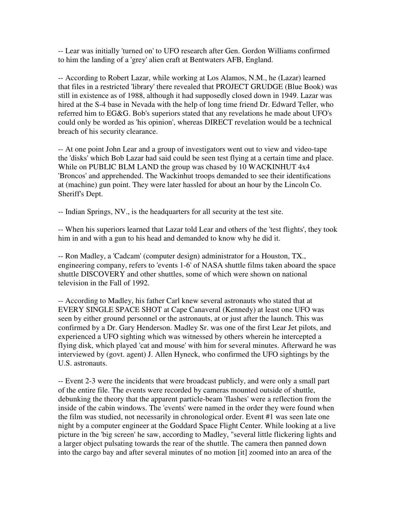-- Lear was initially 'turned on' to UFO research after Gen. Gordon Williams confirmed to him the landing of a 'grey' alien craft at Bentwaters AFB, England.

-- According to Robert Lazar, while working at Los Alamos, N.M., he (Lazar) learned that files in a restricted 'library' there revealed that PROJECT GRUDGE (Blue Book) was still in existence as of 1988, although it had supposedly closed down in 1949. Lazar was hired at the S-4 base in Nevada with the help of long time friend Dr. Edward Teller, who referred him to EG&G. Bob's superiors stated that any revelations he made about UFO's could only be worded as 'his opinion', whereas DIRECT revelation would be a technical breach of his security clearance.

-- At one point John Lear and a group of investigators went out to view and video-tape the 'disks' which Bob Lazar had said could be seen test flying at a certain time and place. While on PUBLIC BLM LAND the group was chased by 10 WACKINHUT 4x4 'Broncos' and apprehended. The Wackinhut troops demanded to see their identifications at (machine) gun point. They were later hassled for about an hour by the Lincoln Co. Sheriff's Dept.

-- Indian Springs, NV., is the headquarters for all security at the test site.

-- When his superiors learned that Lazar told Lear and others of the 'test flights', they took him in and with a gun to his head and demanded to know why he did it.

-- Ron Madley, a 'Cadcam' (computer design) administrator for a Houston, TX., engineering company, refers to 'events 1-6' of NASA shuttle films taken aboard the space shuttle DISCOVERY and other shuttles, some of which were shown on national television in the Fall of 1992.

-- According to Madley, his father Carl knew several astronauts who stated that at EVERY SINGLE SPACE SHOT at Cape Canaveral (Kennedy) at least one UFO was seen by either ground personnel or the astronauts, at or just after the launch. This was confirmed by a Dr. Gary Henderson. Madley Sr. was one of the first Lear Jet pilots, and experienced a UFO sighting which was witnessed by others wherein he intercepted a flying disk, which played 'cat and mouse' with him for several minutes. Afterward he was interviewed by (govt. agent) J. Allen Hyneck, who confirmed the UFO sightings by the U.S. astronauts.

-- Event 2-3 were the incidents that were broadcast publicly, and were only a small part of the entire file. The events were recorded by cameras mounted outside of shuttle, debunking the theory that the apparent particle-beam 'flashes' were a reflection from the inside of the cabin windows. The 'events' were named in the order they were found when the film was studied, not necessarily in chronological order. Event #1 was seen late one night by a computer engineer at the Goddard Space Flight Center. While looking at a live picture in the 'big screen' he saw, according to Madley, "several little flickering lights and a larger object pulsating towards the rear of the shuttle. The camera then panned down into the cargo bay and after several minutes of no motion [it] zoomed into an area of the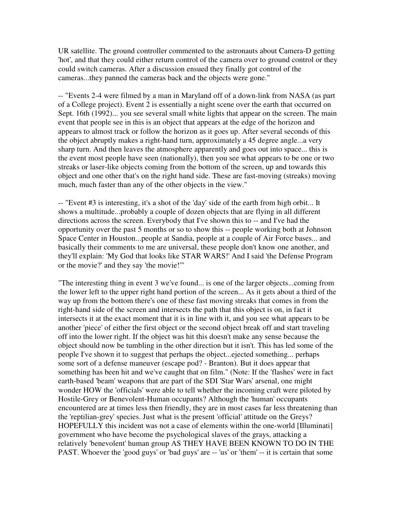UR satellite. The ground controller commented to the astronauts about Camera-D getting 'hot', and that they could either return control of the camera over to ground control or they could switch cameras. After a discussion ensued they finally got control of the cameras...they panned the cameras back and the objects were gone."

-- "Events 2-4 were filmed by a man in Maryland off of a down-link from NASA (as part of a College project). Event 2 is essentially a night scene over the earth that occurred on Sept. 16th (1992)... you see several small white lights that appear on the screen. The main event that people see in this is an object that appears at the edge of the horizon and appears to almost track or follow the horizon as it goes up. After several seconds of this the object abruptly makes a right-hand turn, approximately a 45 degree angle...a very sharp turn. And then leaves the atmosphere apparently and goes out into space... this is the event most people have seen (nationally), then you see what appears to be one or two streaks or laser-like objects coming from the bottom of the screen, up and towards this object and one other that's on the right hand side. These are fast-moving (streaks) moving much, much faster than any of the other objects in the view."

-- "Event #3 is interesting, it's a shot of the 'day' side of the earth from high orbit... It shows a multitude...probably a couple of dozen objects that are flying in all different directions across the screen. Everybody that I've shown this to -- and I've had the opportunity over the past 5 months or so to show this -- people working both at Johnson Space Center in Houston...people at Sandia, people at a couple of Air Force bases... and basically their comments to me are universal, these people don't know one another, and they'll explain: 'My God that looks like STAR WARS!' And I said 'the Defense Program or the movie?' and they say 'the movie!'"

"The interesting thing in event 3 we've found... is one of the larger objects...coming from the lower left to the upper right hand portion of the screen... As it gets about a third of the way up from the bottom there's one of these fast moving streaks that comes in from the right-hand side of the screen and intersects the path that this object is on, in fact it intersects it at the exact moment that it is in line with it, and you see what appears to be another 'piece' of either the first object or the second object break off and start traveling off into the lower right. If the object was hit this doesn't make any sense because the object should now be tumbling in the other direction but it isn't. This has led some of the people I've shown it to suggest that perhaps the object...ejected something... perhaps some sort of a defense maneuver (escape pod? - Branton). But it does appear that something has been hit and we've caught that on film." (Note: If the 'flashes' were in fact earth-based 'beam' weapons that are part of the SDI 'Star Wars' arsenal, one might wonder HOW the 'officials' were able to tell whether the incoming craft were piloted by Hostile-Grey or Benevolent-Human occupants? Although the 'human' occupants encountered are at times less then friendly, they are in most cases far less threatening than the 'reptilian-grey' species. Just what is the present 'official' attitude on the Greys? HOPEFULLY this incident was not a case of elements within the one-world [Illuminati] government who have become the psychological slaves of the grays, attacking a relatively 'benevolent' human group AS THEY HAVE BEEN KNOWN TO DO IN THE PAST. Whoever the 'good guys' or 'bad guys' are -- 'us' or 'them' -- it is certain that some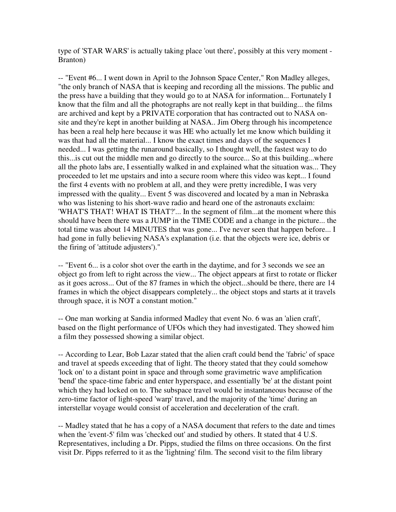type of 'STAR WARS' is actually taking place 'out there', possibly at this very moment - Branton)

-- "Event #6... I went down in April to the Johnson Space Center," Ron Madley alleges, "the only branch of NASA that is keeping and recording all the missions. The public and the press have a building that they would go to at NASA for information... Fortunately I know that the film and all the photographs are not really kept in that building... the films are archived and kept by a PRIVATE corporation that has contracted out to NASA onsite and they're kept in another building at NASA.. Jim Oberg through his incompetence has been a real help here because it was HE who actually let me know which building it was that had all the material... I know the exact times and days of the sequences I needed... I was getting the runaround basically, so I thought well, the fastest way to do this...is cut out the middle men and go directly to the source... So at this building...where all the photo labs are, I essentially walked in and explained what the situation was... They proceeded to let me upstairs and into a secure room where this video was kept... I found the first 4 events with no problem at all, and they were pretty incredible, I was very impressed with the quality... Event 5 was discovered and located by a man in Nebraska who was listening to his short-wave radio and heard one of the astronauts exclaim: 'WHAT'S THAT! WHAT IS THAT?'... In the segment of film...at the moment where this should have been there was a JUMP in the TIME CODE and a change in the picture... the total time was about 14 MINUTES that was gone... I've never seen that happen before... I had gone in fully believing NASA's explanation (i.e. that the objects were ice, debris or the firing of 'attitude adjusters')."

-- "Event 6... is a color shot over the earth in the daytime, and for 3 seconds we see an object go from left to right across the view... The object appears at first to rotate or flicker as it goes across... Out of the 87 frames in which the object...should be there, there are 14 frames in which the object disappears completely... the object stops and starts at it travels through space, it is NOT a constant motion."

-- One man working at Sandia informed Madley that event No. 6 was an 'alien craft', based on the flight performance of UFOs which they had investigated. They showed him a film they possessed showing a similar object.

-- According to Lear, Bob Lazar stated that the alien craft could bend the 'fabric' of space and travel at speeds exceeding that of light. The theory stated that they could somehow 'lock on' to a distant point in space and through some gravimetric wave amplification 'bend' the space-time fabric and enter hyperspace, and essentially 'be' at the distant point which they had locked on to. The subspace travel would be instantaneous because of the zero-time factor of light-speed 'warp' travel, and the majority of the 'time' during an interstellar voyage would consist of acceleration and deceleration of the craft.

-- Madley stated that he has a copy of a NASA document that refers to the date and times when the 'event-5' film was 'checked out' and studied by others. It stated that 4 U.S. Representatives, including a Dr. Pipps, studied the films on three occasions. On the first visit Dr. Pipps referred to it as the 'lightning' film. The second visit to the film library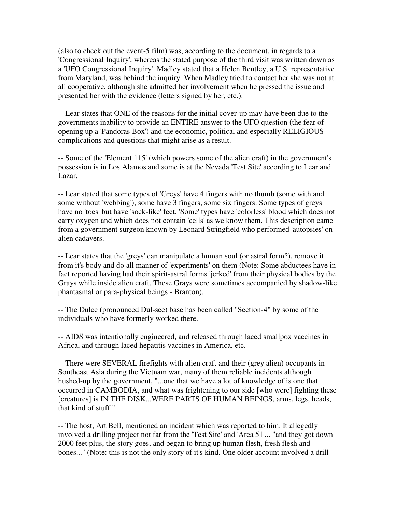(also to check out the event-5 film) was, according to the document, in regards to a 'Congressional Inquiry', whereas the stated purpose of the third visit was written down as a 'UFO Congressional Inquiry'. Madley stated that a Helen Bentley, a U.S. representative from Maryland, was behind the inquiry. When Madley tried to contact her she was not at all cooperative, although she admitted her involvement when he pressed the issue and presented her with the evidence (letters signed by her, etc.).

-- Lear states that ONE of the reasons for the initial cover-up may have been due to the governments inability to provide an ENTIRE answer to the UFO question (the fear of opening up a 'Pandoras Box') and the economic, political and especially RELIGIOUS complications and questions that might arise as a result.

-- Some of the 'Element 115' (which powers some of the alien craft) in the government's possession is in Los Alamos and some is at the Nevada 'Test Site' according to Lear and Lazar.

-- Lear stated that some types of 'Greys' have 4 fingers with no thumb (some with and some without 'webbing'), some have 3 fingers, some six fingers. Some types of greys have no 'toes' but have 'sock-like' feet. 'Some' types have 'colorless' blood which does not carry oxygen and which does not contain 'cells' as we know them. This description came from a government surgeon known by Leonard Stringfield who performed 'autopsies' on alien cadavers.

-- Lear states that the 'greys' can manipulate a human soul (or astral form?), remove it from it's body and do all manner of 'experiments' on them (Note: Some abductees have in fact reported having had their spirit-astral forms 'jerked' from their physical bodies by the Grays while inside alien craft. These Grays were sometimes accompanied by shadow-like phantasmal or para-physical beings - Branton).

-- The Dulce (pronounced Dul-see) base has been called "Section-4" by some of the individuals who have formerly worked there.

-- AIDS was intentionally engineered, and released through laced smallpox vaccines in Africa, and through laced hepatitis vaccines in America, etc.

-- There were SEVERAL firefights with alien craft and their (grey alien) occupants in Southeast Asia during the Vietnam war, many of them reliable incidents although hushed-up by the government, "...one that we have a lot of knowledge of is one that occurred in CAMBODIA, and what was frightening to our side [who were] fighting these [creatures] is IN THE DISK...WERE PARTS OF HUMAN BEINGS, arms, legs, heads, that kind of stuff."

-- The host, Art Bell, mentioned an incident which was reported to him. It allegedly involved a drilling project not far from the 'Test Site' and 'Area 51'... "and they got down 2000 feet plus, the story goes, and began to bring up human flesh, fresh flesh and bones..." (Note: this is not the only story of it's kind. One older account involved a drill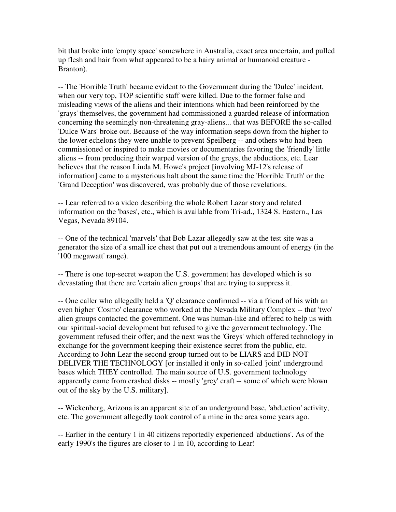bit that broke into 'empty space' somewhere in Australia, exact area uncertain, and pulled up flesh and hair from what appeared to be a hairy animal or humanoid creature - Branton).

-- The 'Horrible Truth' became evident to the Government during the 'Dulce' incident, when our very top, TOP scientific staff were killed. Due to the former false and misleading views of the aliens and their intentions which had been reinforced by the 'grays' themselves, the government had commissioned a guarded release of information concerning the seemingly non-threatening gray-aliens... that was BEFORE the so-called 'Dulce Wars' broke out. Because of the way information seeps down from the higher to the lower echelons they were unable to prevent Speilberg -- and others who had been commissioned or inspired to make movies or documentaries favoring the 'friendly' little aliens -- from producing their warped version of the greys, the abductions, etc. Lear believes that the reason Linda M. Howe's project [involving MJ-12's release of information] came to a mysterious halt about the same time the 'Horrible Truth' or the 'Grand Deception' was discovered, was probably due of those revelations.

-- Lear referred to a video describing the whole Robert Lazar story and related information on the 'bases', etc., which is available from Tri-ad., 1324 S. Eastern., Las Vegas, Nevada 89104.

-- One of the technical 'marvels' that Bob Lazar allegedly saw at the test site was a generator the size of a small ice chest that put out a tremendous amount of energy (in the '100 megawatt' range).

-- There is one top-secret weapon the U.S. government has developed which is so devastating that there are 'certain alien groups' that are trying to suppress it.

-- One caller who allegedly held a 'Q' clearance confirmed -- via a friend of his with an even higher 'Cosmo' clearance who worked at the Nevada Military Complex -- that 'two' alien groups contacted the government. One was human-like and offered to help us with our spiritual-social development but refused to give the government technology. The government refused their offer; and the next was the 'Greys' which offered technology in exchange for the government keeping their existence secret from the public, etc. According to John Lear the second group turned out to be LIARS and DID NOT DELIVER THE TECHNOLOGY [or installed it only in so-called 'joint' underground bases which THEY controlled. The main source of U.S. government technology apparently came from crashed disks -- mostly 'grey' craft -- some of which were blown out of the sky by the U.S. military].

-- Wickenberg, Arizona is an apparent site of an underground base, 'abduction' activity, etc. The government allegedly took control of a mine in the area some years ago.

-- Earlier in the century 1 in 40 citizens reportedly experienced 'abductions'. As of the early 1990's the figures are closer to 1 in 10, according to Lear!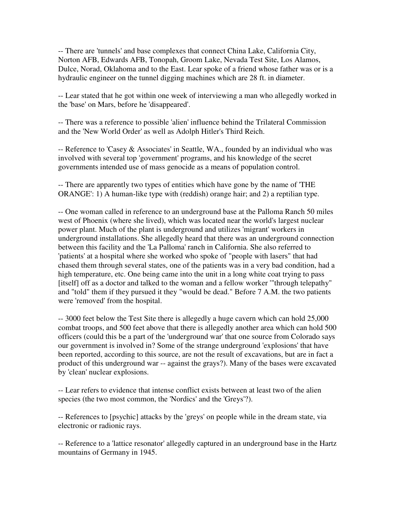-- There are 'tunnels' and base complexes that connect China Lake, California City, Norton AFB, Edwards AFB, Tonopah, Groom Lake, Nevada Test Site, Los Alamos, Dulce, Norad, Oklahoma and to the East. Lear spoke of a friend whose father was or is a hydraulic engineer on the tunnel digging machines which are 28 ft. in diameter.

-- Lear stated that he got within one week of interviewing a man who allegedly worked in the 'base' on Mars, before he 'disappeared'.

-- There was a reference to possible 'alien' influence behind the Trilateral Commission and the 'New World Order' as well as Adolph Hitler's Third Reich.

-- Reference to 'Casey & Associates' in Seattle, WA., founded by an individual who was involved with several top 'government' programs, and his knowledge of the secret governments intended use of mass genocide as a means of population control.

-- There are apparently two types of entities which have gone by the name of 'THE ORANGE': 1) A human-like type with (reddish) orange hair; and 2) a reptilian type.

-- One woman called in reference to an underground base at the Palloma Ranch 50 miles west of Phoenix (where she lived), which was located near the world's largest nuclear power plant. Much of the plant is underground and utilizes 'migrant' workers in underground installations. She allegedly heard that there was an underground connection between this facility and the 'La Palloma' ranch in California. She also referred to 'patients' at a hospital where she worked who spoke of "people with lasers" that had chased them through several states, one of the patients was in a very bad condition, had a high temperature, etc. One being came into the unit in a long white coat trying to pass [itself] off as a doctor and talked to the woman and a fellow worker "through telepathy" and "told" them if they pursued it they "would be dead." Before 7 A.M. the two patients were 'removed' from the hospital.

-- 3000 feet below the Test Site there is allegedly a huge cavern which can hold 25,000 combat troops, and 500 feet above that there is allegedly another area which can hold 500 officers (could this be a part of the 'underground war' that one source from Colorado says our government is involved in? Some of the strange underground 'explosions' that have been reported, according to this source, are not the result of excavations, but are in fact a product of this underground war -- against the grays?). Many of the bases were excavated by 'clean' nuclear explosions.

-- Lear refers to evidence that intense conflict exists between at least two of the alien species (the two most common, the 'Nordics' and the 'Greys'?).

-- References to [psychic] attacks by the 'greys' on people while in the dream state, via electronic or radionic rays.

-- Reference to a 'lattice resonator' allegedly captured in an underground base in the Hartz mountains of Germany in 1945.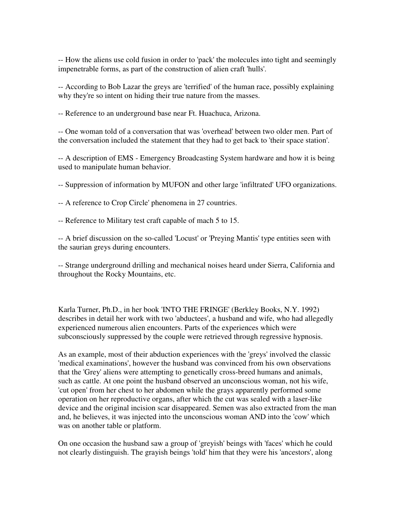-- How the aliens use cold fusion in order to 'pack' the molecules into tight and seemingly impenetrable forms, as part of the construction of alien craft 'hulls'.

-- According to Bob Lazar the greys are 'terrified' of the human race, possibly explaining why they're so intent on hiding their true nature from the masses.

-- Reference to an underground base near Ft. Huachuca, Arizona.

-- One woman told of a conversation that was 'overhead' between two older men. Part of the conversation included the statement that they had to get back to 'their space station'.

-- A description of EMS - Emergency Broadcasting System hardware and how it is being used to manipulate human behavior.

-- Suppression of information by MUFON and other large 'infiltrated' UFO organizations.

-- A reference to Crop Circle' phenomena in 27 countries.

-- Reference to Military test craft capable of mach 5 to 15.

-- A brief discussion on the so-called 'Locust' or 'Preying Mantis' type entities seen with the saurian greys during encounters.

-- Strange underground drilling and mechanical noises heard under Sierra, California and throughout the Rocky Mountains, etc.

Karla Turner, Ph.D., in her book 'INTO THE FRINGE' (Berkley Books, N.Y. 1992) describes in detail her work with two 'abductees', a husband and wife, who had allegedly experienced numerous alien encounters. Parts of the experiences which were subconsciously suppressed by the couple were retrieved through regressive hypnosis.

As an example, most of their abduction experiences with the 'greys' involved the classic 'medical examinations', however the husband was convinced from his own observations that the 'Grey' aliens were attempting to genetically cross-breed humans and animals, such as cattle. At one point the husband observed an unconscious woman, not his wife, 'cut open' from her chest to her abdomen while the grays apparently performed some operation on her reproductive organs, after which the cut was sealed with a laser-like device and the original incision scar disappeared. Semen was also extracted from the man and, he believes, it was injected into the unconscious woman AND into the 'cow' which was on another table or platform.

On one occasion the husband saw a group of 'greyish' beings with 'faces' which he could not clearly distinguish. The grayish beings 'told' him that they were his 'ancestors', along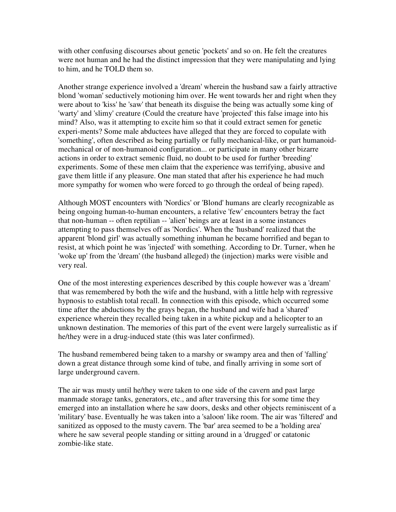with other confusing discourses about genetic 'pockets' and so on. He felt the creatures were not human and he had the distinct impression that they were manipulating and lying to him, and he TOLD them so.

Another strange experience involved a 'dream' wherein the husband saw a fairly attractive blond 'woman' seductively motioning him over. He went towards her and right when they were about to 'kiss' he 'saw' that beneath its disguise the being was actually some king of 'warty' and 'slimy' creature (Could the creature have 'projected' this false image into his mind? Also, was it attempting to excite him so that it could extract semen for genetic experi-ments? Some male abductees have alleged that they are forced to copulate with 'something', often described as being partially or fully mechanical-like, or part humanoidmechanical or of non-humanoid configuration... or participate in many other bizarre actions in order to extract semenic fluid, no doubt to be used for further 'breeding' experiments. Some of these men claim that the experience was terrifying, abusive and gave them little if any pleasure. One man stated that after his experience he had much more sympathy for women who were forced to go through the ordeal of being raped).

Although MOST encounters with 'Nordics' or 'Blond' humans are clearly recognizable as being ongoing human-to-human encounters, a relative 'few' encounters betray the fact that non-human -- often reptilian -- 'alien' beings are at least in a some instances attempting to pass themselves off as 'Nordics'. When the 'husband' realized that the apparent 'blond girl' was actually something inhuman he became horrified and began to resist, at which point he was 'injected' with something. According to Dr. Turner, when he 'woke up' from the 'dream' (the husband alleged) the (injection) marks were visible and very real.

One of the most interesting experiences described by this couple however was a 'dream' that was remembered by both the wife and the husband, with a little help with regressive hypnosis to establish total recall. In connection with this episode, which occurred some time after the abductions by the grays began, the husband and wife had a 'shared' experience wherein they recalled being taken in a white pickup and a helicopter to an unknown destination. The memories of this part of the event were largely surrealistic as if he/they were in a drug-induced state (this was later confirmed).

The husband remembered being taken to a marshy or swampy area and then of 'falling' down a great distance through some kind of tube, and finally arriving in some sort of large underground cavern.

The air was musty until he/they were taken to one side of the cavern and past large manmade storage tanks, generators, etc., and after traversing this for some time they emerged into an installation where he saw doors, desks and other objects reminiscent of a 'military' base. Eventually he was taken into a 'saloon' like room. The air was 'filtered' and sanitized as opposed to the musty cavern. The 'bar' area seemed to be a 'holding area' where he saw several people standing or sitting around in a 'drugged' or catatonic zombie-like state.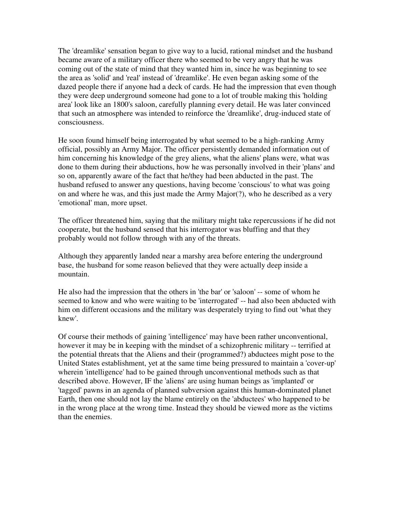The 'dreamlike' sensation began to give way to a lucid, rational mindset and the husband became aware of a military officer there who seemed to be very angry that he was coming out of the state of mind that they wanted him in, since he was beginning to see the area as 'solid' and 'real' instead of 'dreamlike'. He even began asking some of the dazed people there if anyone had a deck of cards. He had the impression that even though they were deep underground someone had gone to a lot of trouble making this 'holding area' look like an 1800's saloon, carefully planning every detail. He was later convinced that such an atmosphere was intended to reinforce the 'dreamlike', drug-induced state of consciousness.

He soon found himself being interrogated by what seemed to be a high-ranking Army official, possibly an Army Major. The officer persistently demanded information out of him concerning his knowledge of the grey aliens, what the aliens' plans were, what was done to them during their abductions, how he was personally involved in their 'plans' and so on, apparently aware of the fact that he/they had been abducted in the past. The husband refused to answer any questions, having become 'conscious' to what was going on and where he was, and this just made the Army Major(?), who he described as a very 'emotional' man, more upset.

The officer threatened him, saying that the military might take repercussions if he did not cooperate, but the husband sensed that his interrogator was bluffing and that they probably would not follow through with any of the threats.

Although they apparently landed near a marshy area before entering the underground base, the husband for some reason believed that they were actually deep inside a mountain.

He also had the impression that the others in 'the bar' or 'saloon' -- some of whom he seemed to know and who were waiting to be 'interrogated' -- had also been abducted with him on different occasions and the military was desperately trying to find out 'what they knew'.

Of course their methods of gaining 'intelligence' may have been rather unconventional, however it may be in keeping with the mindset of a schizophrenic military -- terrified at the potential threats that the Aliens and their (programmed?) abductees might pose to the United States establishment, yet at the same time being pressured to maintain a 'cover-up' wherein 'intelligence' had to be gained through unconventional methods such as that described above. However, IF the 'aliens' are using human beings as 'implanted' or 'tagged' pawns in an agenda of planned subversion against this human-dominated planet Earth, then one should not lay the blame entirely on the 'abductees' who happened to be in the wrong place at the wrong time. Instead they should be viewed more as the victims than the enemies.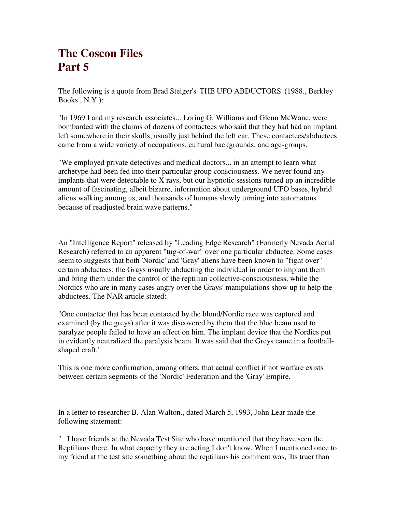### **The Coscon Files Part 5**

The following is a quote from Brad Steiger's 'THE UFO ABDUCTORS' (1988., Berkley Books., N.Y.):

"In 1969 I and my research associates... Loring G. Williams and Glenn McWane, were bombarded with the claims of dozens of contactees who said that they had had an implant left somewhere in their skulls, usually just behind the left ear. These contactees/abductees came from a wide variety of occupations, cultural backgrounds, and age-groups.

"We employed private detectives and medical doctors... in an attempt to learn what archetype had been fed into their particular group consciousness. We never found any implants that were detectable to X rays, but our hypnotic sessions turned up an incredible amount of fascinating, albeit bizarre, information about underground UFO bases, hybrid aliens walking among us, and thousands of humans slowly turning into automatons because of readjusted brain wave patterns."

An "Intelligence Report" released by "Leading Edge Research" (Formerly Nevada Aerial Research) referred to an apparent "tug-of-war" over one particular abductee. Some cases seem to suggests that both 'Nordic' and 'Gray' aliens have been known to "fight over" certain abductees; the Grays usually abducting the individual in order to implant them and bring them under the control of the reptilian collective-consciousness, while the Nordics who are in many cases angry over the Grays' manipulations show up to help the abductees. The NAR article stated:

"One contactee that has been contacted by the blond/Nordic race was captured and examined (by the greys) after it was discovered by them that the blue beam used to paralyze people failed to have an effect on him. The implant device that the Nordics put in evidently neutralized the paralysis beam. It was said that the Greys came in a footballshaped craft."

This is one more confirmation, among others, that actual conflict if not warfare exists between certain segments of the 'Nordic' Federation and the 'Gray' Empire.

In a letter to researcher B. Alan Walton., dated March 5, 1993, John Lear made the following statement:

"...I have friends at the Nevada Test Site who have mentioned that they have seen the Reptilians there. In what capacity they are acting I don't know. When I mentioned once to my friend at the test site something about the reptilians his comment was, 'Its truer than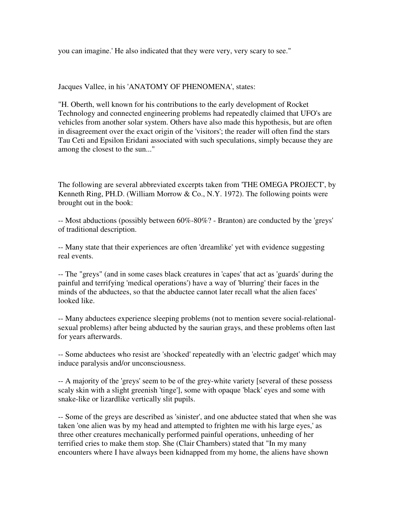you can imagine.' He also indicated that they were very, very scary to see."

Jacques Vallee, in his 'ANATOMY OF PHENOMENA', states:

"H. Oberth, well known for his contributions to the early development of Rocket Technology and connected engineering problems had repeatedly claimed that UFO's are vehicles from another solar system. Others have also made this hypothesis, but are often in disagreement over the exact origin of the 'visitors'; the reader will often find the stars Tau Ceti and Epsilon Eridani associated with such speculations, simply because they are among the closest to the sun..."

The following are several abbreviated excerpts taken from 'THE OMEGA PROJECT', by Kenneth Ring, PH.D. (William Morrow  $& Co., N.Y.$  1972). The following points were brought out in the book:

-- Most abductions (possibly between 60%-80%? - Branton) are conducted by the 'greys' of traditional description.

-- Many state that their experiences are often 'dreamlike' yet with evidence suggesting real events.

-- The "greys" (and in some cases black creatures in 'capes' that act as 'guards' during the painful and terrifying 'medical operations') have a way of 'blurring' their faces in the minds of the abductees, so that the abductee cannot later recall what the alien faces' looked like.

-- Many abductees experience sleeping problems (not to mention severe social-relationalsexual problems) after being abducted by the saurian grays, and these problems often last for years afterwards.

-- Some abductees who resist are 'shocked' repeatedly with an 'electric gadget' which may induce paralysis and/or unconsciousness.

-- A majority of the 'greys' seem to be of the grey-white variety [several of these possess scaly skin with a slight greenish 'tinge'], some with opaque 'black' eyes and some with snake-like or lizardlike vertically slit pupils.

-- Some of the greys are described as 'sinister', and one abductee stated that when she was taken 'one alien was by my head and attempted to frighten me with his large eyes,' as three other creatures mechanically performed painful operations, unheeding of her terrified cries to make them stop. She (Clair Chambers) stated that "In my many encounters where I have always been kidnapped from my home, the aliens have shown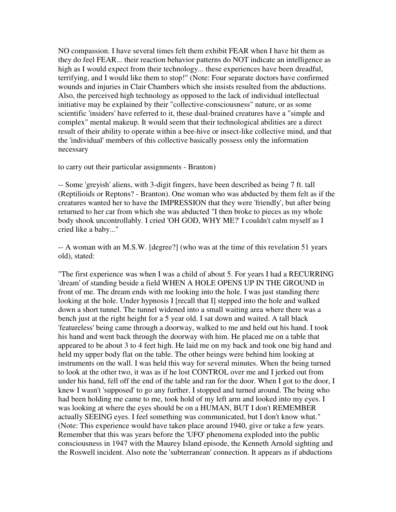NO compassion. I have several times felt them exhibit FEAR when I have hit them as they do feel FEAR... their reaction behavior patterns do NOT indicate an intelligence as high as I would expect from their technology... these experiences have been dreadful, terrifying, and I would like them to stop!" (Note: Four separate doctors have confirmed wounds and injuries in Clair Chambers which she insists resulted from the abductions. Also, the perceived high technology as opposed to the lack of individual intellectual initiative may be explained by their "collective-consciousness" nature, or as some scientific 'insiders' have referred to it, these dual-brained creatures have a "simple and complex" mental makeup. It would seem that their technological abilities are a direct result of their ability to operate within a bee-hive or insect-like collective mind, and that the 'individual' members of this collective basically possess only the information necessary

to carry out their particular assignments - Branton)

-- Some 'greyish' aliens, with 3-digit fingers, have been described as being 7 ft. tall (Reptilioids or Reptons? - Branton). One woman who was abducted by them felt as if the creatures wanted her to have the IMPRESSION that they were 'friendly', but after being returned to her car from which she was abducted "I then broke to pieces as my whole body shook uncontrollably. I cried 'OH GOD, WHY ME?' I couldn't calm myself as I cried like a baby..."

-- A woman with an M.S.W. [degree?] (who was at the time of this revelation 51 years old), stated:

"The first experience was when I was a child of about 5. For years I had a RECURRING 'dream' of standing beside a field WHEN A HOLE OPENS UP IN THE GROUND in front of me. The dream ends with me looking into the hole. I was just standing there looking at the hole. Under hypnosis I [recall that I] stepped into the hole and walked down a short tunnel. The tunnel widened into a small waiting area where there was a bench just at the right height for a 5 year old. I sat down and waited. A tall black 'featureless' being came through a doorway, walked to me and held out his hand. I took his hand and went back through the doorway with him. He placed me on a table that appeared to be about 3 to 4 feet high. He laid me on my back and took one big hand and held my upper body flat on the table. The other beings were behind him looking at instruments on the wall. I was held this way for several minutes. When the being turned to look at the other two, it was as if he lost CONTROL over me and I jerked out from under his hand, fell off the end of the table and ran for the door. When I got to the door, I knew I wasn't 'supposed' to go any further. I stopped and turned around. The being who had been holding me came to me, took hold of my left arm and looked into my eyes. I was looking at where the eyes should be on a HUMAN, BUT I don't REMEMBER actually SEEING eyes. I feel something was communicated, but I don't know what." (Note: This experience would have taken place around 1940, give or take a few years. Remember that this was years before the 'UFO' phenomena exploded into the public consciousness in 1947 with the Maurey Island episode, the Kenneth Arnold sighting and the Roswell incident. Also note the 'subterranean' connection. It appears as if abductions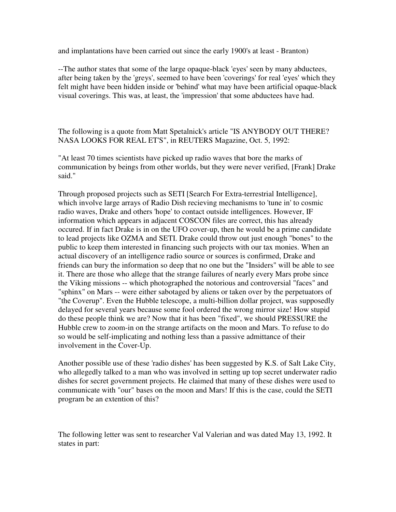and implantations have been carried out since the early 1900's at least - Branton)

--The author states that some of the large opaque-black 'eyes' seen by many abductees, after being taken by the 'greys', seemed to have been 'coverings' for real 'eyes' which they felt might have been hidden inside or 'behind' what may have been artificial opaque-black visual coverings. This was, at least, the 'impression' that some abductees have had.

The following is a quote from Matt Spetalnick's article "IS ANYBODY OUT THERE? NASA LOOKS FOR REAL ET'S", in REUTERS Magazine, Oct. 5, 1992:

"At least 70 times scientists have picked up radio waves that bore the marks of communication by beings from other worlds, but they were never verified, [Frank] Drake said."

Through proposed projects such as SETI [Search For Extra-terrestrial Intelligence], which involve large arrays of Radio Dish recieving mechanisms to 'tune in' to cosmic radio waves, Drake and others 'hope' to contact outside intelligences. However, IF information which appears in adjacent COSCON files are correct, this has already occured. If in fact Drake is in on the UFO cover-up, then he would be a prime candidate to lead projects like OZMA and SETI. Drake could throw out just enough "bones" to the public to keep them interested in financing such projects with our tax monies. When an actual discovery of an intelligence radio source or sources is confirmed, Drake and friends can bury the information so deep that no one but the "Insiders" will be able to see it. There are those who allege that the strange failures of nearly every Mars probe since the Viking missions -- which photographed the notorious and controversial "faces" and "sphinx" on Mars -- were either sabotaged by aliens or taken over by the perpetuators of "the Coverup". Even the Hubble telescope, a multi-billion dollar project, was supposedly delayed for several years because some fool ordered the wrong mirror size! How stupid do these people think we are? Now that it has been "fixed", we should PRESSURE the Hubble crew to zoom-in on the strange artifacts on the moon and Mars. To refuse to do so would be self-implicating and nothing less than a passive admittance of their involvement in the Cover-Up.

Another possible use of these 'radio dishes' has been suggested by K.S. of Salt Lake City, who allegedly talked to a man who was involved in setting up top secret underwater radio dishes for secret government projects. He claimed that many of these dishes were used to communicate with "our" bases on the moon and Mars! If this is the case, could the SETI program be an extention of this?

The following letter was sent to researcher Val Valerian and was dated May 13, 1992. It states in part: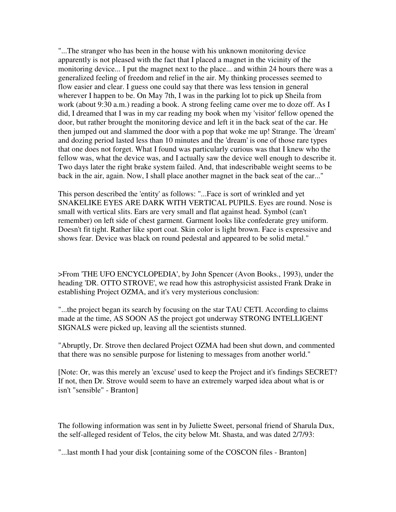"...The stranger who has been in the house with his unknown monitoring device apparently is not pleased with the fact that I placed a magnet in the vicinity of the monitoring device... I put the magnet next to the place... and within 24 hours there was a generalized feeling of freedom and relief in the air. My thinking processes seemed to flow easier and clear. I guess one could say that there was less tension in general wherever I happen to be. On May 7th, I was in the parking lot to pick up Sheila from work (about 9:30 a.m.) reading a book. A strong feeling came over me to doze off. As I did, I dreamed that I was in my car reading my book when my 'visitor' fellow opened the door, but rather brought the monitoring device and left it in the back seat of the car. He then jumped out and slammed the door with a pop that woke me up! Strange. The 'dream' and dozing period lasted less than 10 minutes and the 'dream' is one of those rare types that one does not forget. What I found was particularly curious was that I knew who the fellow was, what the device was, and I actually saw the device well enough to describe it. Two days later the right brake system failed. And, that indescribable weight seems to be back in the air, again. Now, I shall place another magnet in the back seat of the car..."

This person described the 'entity' as follows: "...Face is sort of wrinkled and yet SNAKELIKE EYES ARE DARK WITH VERTICAL PUPILS. Eyes are round. Nose is small with vertical slits. Ears are very small and flat against head. Symbol (can't remember) on left side of chest garment. Garment looks like confederate grey uniform. Doesn't fit tight. Rather like sport coat. Skin color is light brown. Face is expressive and shows fear. Device was black on round pedestal and appeared to be solid metal."

>From 'THE UFO ENCYCLOPEDIA', by John Spencer (Avon Books., 1993), under the heading 'DR. OTTO STROVE', we read how this astrophysicist assisted Frank Drake in establishing Project OZMA, and it's very mysterious conclusion:

"...the project began its search by focusing on the star TAU CETI. According to claims made at the time, AS SOON AS the project got underway STRONG INTELLIGENT SIGNALS were picked up, leaving all the scientists stunned.

"Abruptly, Dr. Strove then declared Project OZMA had been shut down, and commented that there was no sensible purpose for listening to messages from another world."

[Note: Or, was this merely an 'excuse' used to keep the Project and it's findings SECRET? If not, then Dr. Strove would seem to have an extremely warped idea about what is or isn't "sensible" - Branton]

The following information was sent in by Juliette Sweet, personal friend of Sharula Dux, the self-alleged resident of Telos, the city below Mt. Shasta, and was dated 2/7/93:

<sup>&</sup>quot;...last month I had your disk [containing some of the COSCON files - Branton]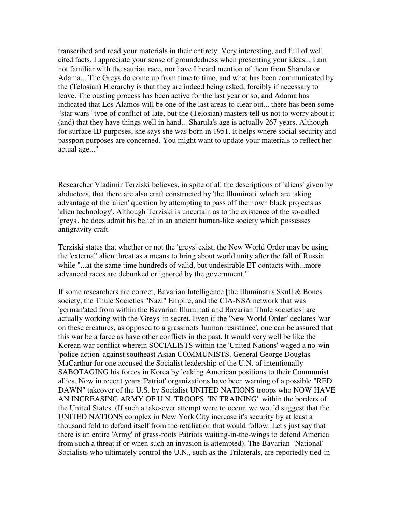transcribed and read your materials in their entirety. Very interesting, and full of well cited facts. I appreciate your sense of groundedness when presenting your ideas... I am not familiar with the saurian race, nor have I heard mention of them from Sharula or Adama... The Greys do come up from time to time, and what has been communicated by the (Telosian) Hierarchy is that they are indeed being asked, forcibly if necessary to leave. The ousting process has been active for the last year or so, and Adama has indicated that Los Alamos will be one of the last areas to clear out... there has been some "star wars" type of conflict of late, but the (Telosian) masters tell us not to worry about it (and) that they have things well in hand... Sharula's age is actually 267 years. Although for surface ID purposes, she says she was born in 1951. It helps where social security and passport purposes are concerned. You might want to update your materials to reflect her actual age..."

Researcher Vladimir Terziski believes, in spite of all the descriptions of 'aliens' given by abductees, that there are also craft constructed by 'the Illuminati' which are taking advantage of the 'alien' question by attempting to pass off their own black projects as 'alien technology'. Although Terziski is uncertain as to the existence of the so-called 'greys', he does admit his belief in an ancient human-like society which possesses antigravity craft.

Terziski states that whether or not the 'greys' exist, the New World Order may be using the 'external' alien threat as a means to bring about world unity after the fall of Russia while "...at the same time hundreds of valid, but undesirable ET contacts with...more advanced races are debunked or ignored by the government."

If some researchers are correct, Bavarian Intelligence [the Illuminati's Skull & Bones society, the Thule Societies "Nazi" Empire, and the CIA-NSA network that was 'german'ated from within the Bavarian Illuminati and Bavarian Thule societies] are actually working with the 'Greys' in secret. Even if the 'New World Order' declares 'war' on these creatures, as opposed to a grassroots 'human resistance', one can be assured that this war be a farce as have other conflicts in the past. It would very well be like the Korean war conflict wherein SOCIALISTS within the 'United Nations' waged a no-win 'police action' against southeast Asian COMMUNISTS. General George Douglas MaCarthur for one accused the Socialist leadership of the U.N. of intentionally SABOTAGING his forces in Korea by leaking American positions to their Communist allies. Now in recent years 'Patriot' organizations have been warning of a possible "RED DAWN" takeover of the U.S. by Socialist UNITED NATIONS troops who NOW HAVE AN INCREASING ARMY OF U.N. TROOPS "IN TRAINING" within the borders of the United States. (If such a take-over attempt were to occur, we would suggest that the UNITED NATIONS complex in New York City increase it's security by at least a thousand fold to defend itself from the retaliation that would follow. Let's just say that there is an entire 'Army' of grass-roots Patriots waiting-in-the-wings to defend America from such a threat if or when such an invasion is attempted). The Bavarian "National" Socialists who ultimately control the U.N., such as the Trilaterals, are reportedly tied-in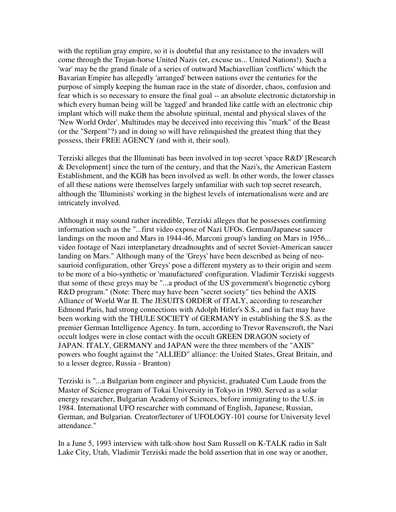with the reptilian gray empire, so it is doubtful that any resistance to the invaders will come through the Trojan-horse United Nazis (er, excuse us... United Nations!). Such a 'war' may be the grand finale of a series of outward Machiavellian 'conflicts' which the Bavarian Empire has allegedly 'arranged' between nations over the centuries for the purpose of simply keeping the human race in the state of disorder, chaos, confusion and fear which is so necessary to ensure the final goal -- an absolute electronic dictatorship in which every human being will be 'tagged' and branded like cattle with an electronic chip implant which will make them the absolute spiritual, mental and physical slaves of the 'New World Order'. Multitudes may be deceived into receiving this "mark" of the Beast (or the "Serpent"?) and in doing so will have relinquished the greatest thing that they possess, their FREE AGENCY (and with it, their soul).

Terziski alleges that the Illuminati has been involved in top secret 'space R&D' [Research & Development] since the turn of the century, and that the Nazi's, the American Eastern Establishment, and the KGB has been involved as well. In other words, the lower classes of all these nations were themselves largely unfamiliar with such top secret research, although the 'Illuminists' working in the highest levels of internationalism were and are intricately involved.

Although it may sound rather incredible, Terziski alleges that he possesses confirming information such as the "...first video expose of Nazi UFOs. German/Japanese saucer landings on the moon and Mars in 1944-46, Marconi group's landing on Mars in 1956... video footage of Nazi interplanetary dreadnoughts and of secret Soviet-American saucer landing on Mars." Although many of the 'Greys' have been described as being of neosaurioid configuration, other 'Greys' pose a different mystery as to their origin and seem to be more of a bio-synthetic or 'manufactured' configuration. Vladimir Terziski suggests that some of these greys may be "...a product of the US government's biogenetic cyborg R&D program." (Note: There may have been "secret society" ties behind the AXIS Alliance of World War II. The JESUITS ORDER of ITALY, according to researcher Edmond Paris, had strong connections with Adolph Hitler's S.S., and in fact may have been working with the THULE SOCIETY of GERMANY in establishing the S.S. as the premier German Intelligence Agency. In turn, according to Trevor Ravenscroft, the Nazi occult lodges were in close contact with the occult GREEN DRAGON society of JAPAN. ITALY, GERMANY and JAPAN were the three members of the "AXIS" powers who fought against the "ALLIED" alliance: the United States, Great Britain, and to a lesser degree, Russia - Branton)

Terziski is "...a Bulgarian born engineer and physicist, graduated Cum Laude from the Master of Science program of Tokai University in Tokyo in 1980. Served as a solar energy researcher, Bulgarian Academy of Sciences, before immigrating to the U.S. in 1984. International UFO researcher with command of English, Japanese, Russian, German, and Bulgarian. Creator/lecturer of UFOLOGY-101 course for University level attendance."

In a June 5, 1993 interview with talk-show host Sam Russell on K-TALK radio in Salt Lake City, Utah, Vladimir Terziski made the bold assertion that in one way or another,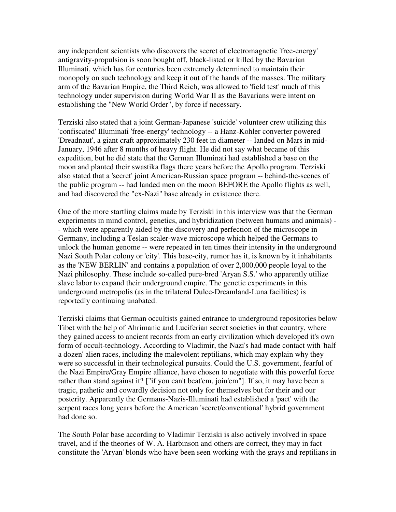any independent scientists who discovers the secret of electromagnetic 'free-energy' antigravity-propulsion is soon bought off, black-listed or killed by the Bavarian Illuminati, which has for centuries been extremely determined to maintain their monopoly on such technology and keep it out of the hands of the masses. The military arm of the Bavarian Empire, the Third Reich, was allowed to 'field test' much of this technology under supervision during World War II as the Bavarians were intent on establishing the "New World Order", by force if necessary.

Terziski also stated that a joint German-Japanese 'suicide' volunteer crew utilizing this 'confiscated' Illuminati 'free-energy' technology -- a Hanz-Kohler converter powered 'Dreadnaut', a giant craft approximately 230 feet in diameter -- landed on Mars in mid-January, 1946 after 8 months of heavy flight. He did not say what became of this expedition, but he did state that the German Illuminati had established a base on the moon and planted their swastika flags there years before the Apollo program. Terziski also stated that a 'secret' joint American-Russian space program -- behind-the-scenes of the public program -- had landed men on the moon BEFORE the Apollo flights as well, and had discovered the "ex-Nazi" base already in existence there.

One of the more startling claims made by Terziski in this interview was that the German experiments in mind control, genetics, and hybridization (between humans and animals) - - which were apparently aided by the discovery and perfection of the microscope in Germany, including a Teslan scaler-wave microscope which helped the Germans to unlock the human genome -- were repeated in ten times their intensity in the underground Nazi South Polar colony or 'city'. This base-city, rumor has it, is known by it inhabitants as the 'NEW BERLIN' and contains a population of over 2,000,000 people loyal to the Nazi philosophy. These include so-called pure-bred 'Aryan S.S.' who apparently utilize slave labor to expand their underground empire. The genetic experiments in this underground metropolis (as in the trilateral Dulce-Dreamland-Luna facilities) is reportedly continuing unabated.

Terziski claims that German occultists gained entrance to underground repositories below Tibet with the help of Ahrimanic and Luciferian secret societies in that country, where they gained access to ancient records from an early civilization which developed it's own form of occult-technology. According to Vladimir, the Nazi's had made contact with 'half a dozen' alien races, including the malevolent reptilians, which may explain why they were so successful in their technological pursuits. Could the U.S. government, fearful of the Nazi Empire/Gray Empire alliance, have chosen to negotiate with this powerful force rather than stand against it? ["if you can't beat'em, join'em"]. If so, it may have been a tragic, pathetic and cowardly decision not only for themselves but for their and our posterity. Apparently the Germans-Nazis-Illuminati had established a 'pact' with the serpent races long years before the American 'secret/conventional' hybrid government had done so.

The South Polar base according to Vladimir Terziski is also actively involved in space travel, and if the theories of W. A. Harbinson and others are correct, they may in fact constitute the 'Aryan' blonds who have been seen working with the grays and reptilians in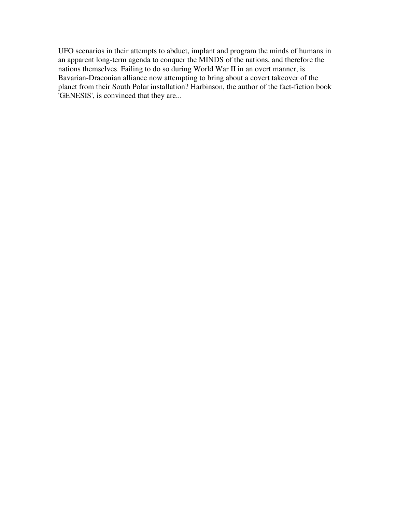UFO scenarios in their attempts to abduct, implant and program the minds of humans in an apparent long-term agenda to conquer the MINDS of the nations, and therefore the nations themselves. Failing to do so during World War II in an overt manner, is Bavarian-Draconian alliance now attempting to bring about a covert takeover of the planet from their South Polar installation? Harbinson, the author of the fact-fiction book 'GENESIS', is convinced that they are...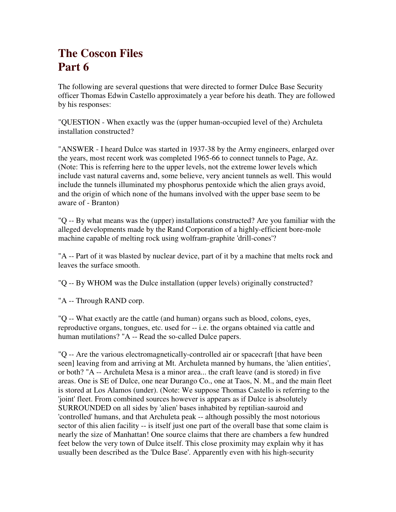# **The Coscon Files Part 6**

The following are several questions that were directed to former Dulce Base Security officer Thomas Edwin Castello approximately a year before his death. They are followed by his responses:

"QUESTION - When exactly was the (upper human-occupied level of the) Archuleta installation constructed?

"ANSWER - I heard Dulce was started in 1937-38 by the Army engineers, enlarged over the years, most recent work was completed 1965-66 to connect tunnels to Page, Az. (Note: This is referring here to the upper levels, not the extreme lower levels which include vast natural caverns and, some believe, very ancient tunnels as well. This would include the tunnels illuminated my phosphorus pentoxide which the alien grays avoid, and the origin of which none of the humans involved with the upper base seem to be aware of - Branton)

"Q -- By what means was the (upper) installations constructed? Are you familiar with the alleged developments made by the Rand Corporation of a highly-efficient bore-mole machine capable of melting rock using wolfram-graphite 'drill-cones'?

"A -- Part of it was blasted by nuclear device, part of it by a machine that melts rock and leaves the surface smooth.

"Q -- By WHOM was the Dulce installation (upper levels) originally constructed?

"A -- Through RAND corp.

"Q -- What exactly are the cattle (and human) organs such as blood, colons, eyes, reproductive organs, tongues, etc. used for -- i.e. the organs obtained via cattle and human mutilations? "A -- Read the so-called Dulce papers.

"Q -- Are the various electromagnetically-controlled air or spacecraft [that have been seen] leaving from and arriving at Mt. Archuleta manned by humans, the 'alien entities', or both? "A -- Archuleta Mesa is a minor area... the craft leave (and is stored) in five areas. One is SE of Dulce, one near Durango Co., one at Taos, N. M., and the main fleet is stored at Los Alamos (under). (Note: We suppose Thomas Castello is referring to the 'joint' fleet. From combined sources however is appears as if Dulce is absolutely SURROUNDED on all sides by 'alien' bases inhabited by reptilian-sauroid and 'controlled' humans, and that Archuleta peak -- although possibly the most notorious sector of this alien facility -- is itself just one part of the overall base that some claim is nearly the size of Manhattan! One source claims that there are chambers a few hundred feet below the very town of Dulce itself. This close proximity may explain why it has usually been described as the 'Dulce Base'. Apparently even with his high-security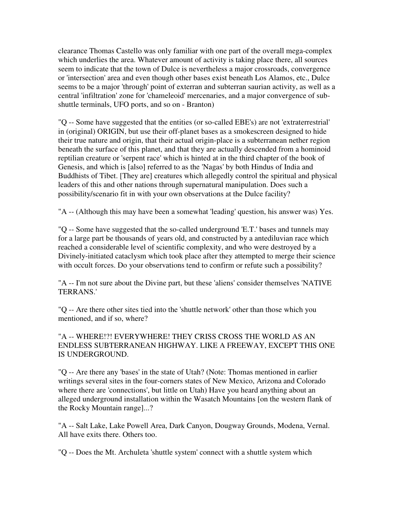clearance Thomas Castello was only familiar with one part of the overall mega-complex which underlies the area. Whatever amount of activity is taking place there, all sources seem to indicate that the town of Dulce is nevertheless a major crossroads, convergence or 'intersection' area and even though other bases exist beneath Los Alamos, etc., Dulce seems to be a major 'through' point of exterran and subterran saurian activity, as well as a central 'infiltration' zone for 'chameleoid' mercenaries, and a major convergence of subshuttle terminals, UFO ports, and so on - Branton)

"Q -- Some have suggested that the entities (or so-called EBE's) are not 'extraterrestrial' in (original) ORIGIN, but use their off-planet bases as a smokescreen designed to hide their true nature and origin, that their actual origin-place is a subterranean nether region beneath the surface of this planet, and that they are actually descended from a hominoid reptilian creature or 'serpent race' which is hinted at in the third chapter of the book of Genesis, and which is [also] referred to as the 'Nagas' by both Hindus of India and Buddhists of Tibet. [They are] creatures which allegedly control the spiritual and physical leaders of this and other nations through supernatural manipulation. Does such a possibility/scenario fit in with your own observations at the Dulce facility?

"A -- (Although this may have been a somewhat 'leading' question, his answer was) Yes.

"Q -- Some have suggested that the so-called underground 'E.T.' bases and tunnels may for a large part be thousands of years old, and constructed by a antediluvian race which reached a considerable level of scientific complexity, and who were destroyed by a Divinely-initiated cataclysm which took place after they attempted to merge their science with occult forces. Do your observations tend to confirm or refute such a possibility?

"A -- I'm not sure about the Divine part, but these 'aliens' consider themselves 'NATIVE TERRANS.'

"Q -- Are there other sites tied into the 'shuttle network' other than those which you mentioned, and if so, where?

"A -- WHERE!?! EVERYWHERE! THEY CRISS CROSS THE WORLD AS AN ENDLESS SUBTERRANEAN HIGHWAY. LIKE A FREEWAY, EXCEPT THIS ONE IS UNDERGROUND.

"Q -- Are there any 'bases' in the state of Utah? (Note: Thomas mentioned in earlier writings several sites in the four-corners states of New Mexico, Arizona and Colorado where there are 'connections', but little on Utah) Have you heard anything about an alleged underground installation within the Wasatch Mountains [on the western flank of the Rocky Mountain range]...?

"A -- Salt Lake, Lake Powell Area, Dark Canyon, Dougway Grounds, Modena, Vernal. All have exits there. Others too.

"Q -- Does the Mt. Archuleta 'shuttle system' connect with a shuttle system which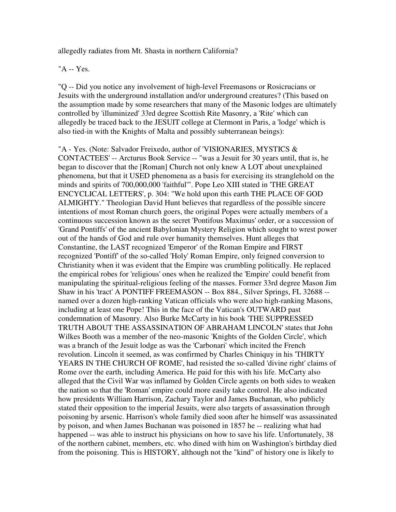allegedly radiates from Mt. Shasta in northern California?

"A -- Yes.

"Q -- Did you notice any involvement of high-level Freemasons or Rosicrucians or Jesuits with the underground installation and/or underground creatures? (This based on the assumption made by some researchers that many of the Masonic lodges are ultimately controlled by 'illuminized' 33rd degree Scottish Rite Masonry, a 'Rite' which can allegedly be traced back to the JESUIT college at Clermont in Paris, a 'lodge' which is also tied-in with the Knights of Malta and possibly subterranean beings):

"A - Yes. (Note: Salvador Freixedo, author of 'VISIONARIES, MYSTICS & CONTACTEES' -- Arcturus Book Service -- "was a Jesuit for 30 years until, that is, he began to discover that the [Roman] Church not only knew A LOT about unexplained phenomena, but that it USED phenomena as a basis for exercising its stranglehold on the minds and spirits of 700,000,000 'faithful'". Pope Leo XIII stated in 'THE GREAT ENCYCLICAL LETTERS', p. 304: "We hold upon this earth THE PLACE OF GOD ALMIGHTY." Theologian David Hunt believes that regardless of the possible sincere intentions of most Roman church goers, the original Popes were actually members of a continuous succession known as the secret 'Pontifous Maximus' order, or a succession of 'Grand Pontiffs' of the ancient Babylonian Mystery Religion which sought to wrest power out of the hands of God and rule over humanity themselves. Hunt alleges that Constantine, the LAST recognized 'Emperor' of the Roman Empire and FIRST recognized 'Pontiff' of the so-called 'Holy' Roman Empire, only feigned conversion to Christianity when it was evident that the Empire was crumbling politically. He replaced the empirical robes for 'religious' ones when he realized the 'Empire' could benefit from manipulating the spiritual-religious feeling of the masses. Former 33rd degree Mason Jim Shaw in his 'tract' A PONTIFF FREEMASON -- Box 884., Silver Springs, FL 32688 - named over a dozen high-ranking Vatican officials who were also high-ranking Masons, including at least one Pope! This in the face of the Vatican's OUTWARD past condemnation of Masonry. Also Burke McCarty in his book 'THE SUPPRESSED TRUTH ABOUT THE ASSASSINATION OF ABRAHAM LINCOLN' states that John Wilkes Booth was a member of the neo-masonic 'Knights of the Golden Circle', which was a branch of the Jesuit lodge as was the 'Carbonari' which incited the French revolution. Lincoln it seemed, as was confirmed by Charles Chiniquy in his 'THIRTY YEARS IN THE CHURCH OF ROME', had resisted the so-called 'divine right' claims of Rome over the earth, including America. He paid for this with his life. McCarty also alleged that the Civil War was inflamed by Golden Circle agents on both sides to weaken the nation so that the 'Roman' empire could more easily take control. He also indicated how presidents William Harrison, Zachary Taylor and James Buchanan, who publicly stated their opposition to the imperial Jesuits, were also targets of assassination through poisoning by arsenic. Harrison's whole family died soon after he himself was assassinated by poison, and when James Buchanan was poisoned in 1857 he -- realizing what had happened -- was able to instruct his physicians on how to save his life. Unfortunately, 38 of the northern cabinet, members, etc. who dined with him on Washington's birthday died from the poisoning. This is HISTORY, although not the "kind" of history one is likely to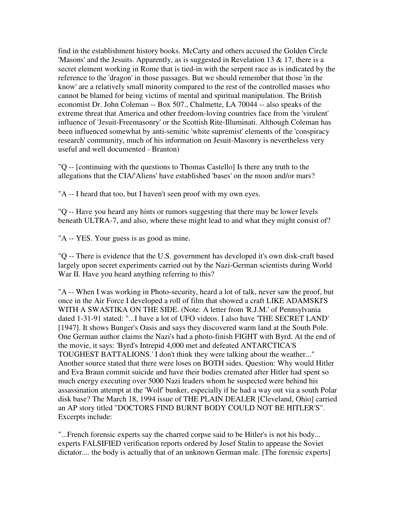find in the establishment history books. McCarty and others accused the Golden Circle 'Masons' and the Jesuits. Apparently, as is suggested in Revelation 13 & 17, there is a secret element working in Rome that is tied-in with the serpent race as is indicated by the reference to the 'dragon' in those passages. But we should remember that those 'in the know' are a relatively small minority compared to the rest of the controlled masses who cannot be blamed for being victims of mental and spiritual manipulation. The British economist Dr. John Coleman -- Box 507., Chalmette, LA 70044 -- also speaks of the extreme threat that America and other freedom-loving countries face from the 'virulent' influence of 'Jesuit-Freemasonry' or the Scottish Rite-Illuminati. Although Coleman has been influenced somewhat by anti-semitic 'white supremist' elements of the 'conspiracy research' community, much of his information on Jesuit-Masonry is nevertheless very useful and well documented - Branton)

"Q -- [continuing with the questions to Thomas Castello] Is there any truth to the allegations that the CIA/'Aliens' have established 'bases' on the moon and/or mars?

"A -- I heard that too, but I haven't seen proof with my own eyes.

"Q -- Have you heard any hints or rumors suggesting that there may be lower levels beneath ULTRA-7, and also, where these might lead to and what they might consist of?

"A -- YES. Your guess is as good as mine.

"Q -- There is evidence that the U.S. government has developed it's own disk-craft based largely upon secret experiments carried out by the Nazi-German scientists during World War II. Have you heard anything referring to this?

"A -- When I was working in Photo-security, heard a lot of talk, never saw the proof, but once in the Air Force I developed a roll of film that showed a craft LIKE ADAMSKI'S WITH A SWASTIKA ON THE SIDE. (Note: A letter from 'R.J.M.' of Pennsylvania dated 1-31-91 stated: "...I have a lot of UFO videos. I also have 'THE SECRET LAND' [1947]. It shows Bunger's Oasis and says they discovered warm land at the South Pole. One German author claims the Nazi's had a photo-finish FIGHT with Byrd. At the end of the movie, it says: 'Byrd's Intrepid 4,000 met and defeated ANTARCTICA'S TOUGHEST BATTALIONS.' I don't think they were talking about the weather..." Another source stated that there were loses on BOTH sides. Question: Why would Hitler and Eva Braun commit suicide and have their bodies cremated after Hitler had spent so much energy executing over 5000 Nazi leaders whom he suspected were behind his assassination attempt at the 'Wolf' bunker, especially if he had a way out via a south Polar disk base? The March 18, 1994 issue of THE PLAIN DEALER [Cleveland, Ohio] carried an AP story titled "DOCTORS FIND BURNT BODY COULD NOT BE HITLER'S". Excerpts include:

"...French forensic experts say the charred corpse said to be Hitler's is not his body... experts FALSIFIED verification reports ordered by Josef Stalin to appease the Soviet dictator.... the body is actually that of an unknown German male. [The forensic experts]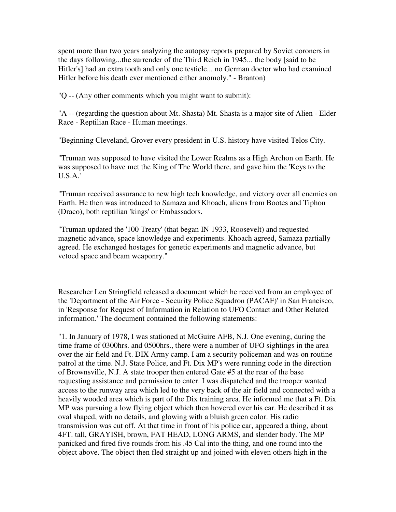spent more than two years analyzing the autopsy reports prepared by Soviet coroners in the days following...the surrender of the Third Reich in 1945... the body [said to be Hitler's] had an extra tooth and only one testicle... no German doctor who had examined Hitler before his death ever mentioned either anomoly." - Branton)

"Q -- (Any other comments which you might want to submit):

"A -- (regarding the question about Mt. Shasta) Mt. Shasta is a major site of Alien - Elder Race - Reptilian Race - Human meetings.

"Beginning Cleveland, Grover every president in U.S. history have visited Telos City.

"Truman was supposed to have visited the Lower Realms as a High Archon on Earth. He was supposed to have met the King of The World there, and gave him the 'Keys to the U.S.A.'

"Truman received assurance to new high tech knowledge, and victory over all enemies on Earth. He then was introduced to Samaza and Khoach, aliens from Bootes and Tiphon (Draco), both reptilian 'kings' or Embassadors.

"Truman updated the '100 Treaty' (that began IN 1933, Roosevelt) and requested magnetic advance, space knowledge and experiments. Khoach agreed, Samaza partially agreed. He exchanged hostages for genetic experiments and magnetic advance, but vetoed space and beam weaponry."

Researcher Len Stringfield released a document which he received from an employee of the 'Department of the Air Force - Security Police Squadron (PACAF)' in San Francisco, in 'Response for Request of Information in Relation to UFO Contact and Other Related information.' The document contained the following statements:

"1. In January of 1978, I was stationed at McGuire AFB, N.J. One evening, during the time frame of 0300hrs. and 0500hrs., there were a number of UFO sightings in the area over the air field and Ft. DIX Army camp. I am a security policeman and was on routine patrol at the time. N.J. State Police, and Ft. Dix MP's were running code in the direction of Brownsville, N.J. A state trooper then entered Gate #5 at the rear of the base requesting assistance and permission to enter. I was dispatched and the trooper wanted access to the runway area which led to the very back of the air field and connected with a heavily wooded area which is part of the Dix training area. He informed me that a Ft. Dix MP was pursuing a low flying object which then hovered over his car. He described it as oval shaped, with no details, and glowing with a bluish green color. His radio transmission was cut off. At that time in front of his police car, appeared a thing, about 4FT. tall, GRAYISH, brown, FAT HEAD, LONG ARMS, and slender body. The MP panicked and fired five rounds from his .45 Cal into the thing, and one round into the object above. The object then fled straight up and joined with eleven others high in the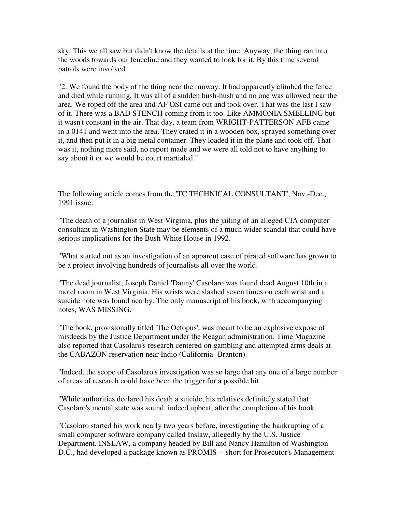sky. This we all saw but didn't know the details at the time. Anyway, the thing ran into the woods towards our fenceline and they wanted to look for it. By this time several patrols were involved.

"2. We found the body of the thing near the runway. It had apparently climbed the fence and died while running. It was all of a sudden hush-hush and no one was allowed near the area. We roped off the area and AF OSI came out and took over. That was the last I saw of it. There was a BAD STENCH coming from it too. Like AMMONIA SMELLING but it wasn't constant in the air. That day, a team from WRIGHT-PATTERSON AFB came in a 0141 and went into the area. They crated it in a wooden box, sprayed something over it, and then put it in a big metal container. They loaded it in the plane and took off. That was it, nothing more said, no report made and we were all told not to have anything to say about it or we would be court martialed."

The following article comes from the 'TC TECHNICAL CONSULTANT', Nov.-Dec., 1991 issue:

"The death of a journalist in West Virginia, plus the jailing of an alleged CIA computer consultant in Washington State may be elements of a much wider scandal that could have serious implications for the Bush White House in 1992.

"What started out as an investigation of an apparent case of pirated software has grown to be a project involving hundreds of journalists all over the world.

"The dead journalist, Joseph Daniel 'Danny' Casolaro was found dead August 10th in a motel room in West Virginia. His wrists were slashed seven times on each wrist and a suicide note was found nearby. The only manuscript of his book, with accompanying notes, WAS MISSING.

"The book, provisionally titled 'The Octopus', was meant to be an explosive expose of misdeeds by the Justice Department under the Reagan administration. Time Magazine also reported that Casolaro's research centered on gambling and attempted arms deals at the CABAZON reservation near Indio (California -Branton).

"Indeed, the scope of Casolaro's investigation was so large that any one of a large number of areas of research could have been the trigger for a possible hit.

"While authorities declared his death a suicide, his relatives definitely stated that Casolaro's mental state was sound, indeed upbeat, after the completion of his book.

"Casolaro started his work nearly two years before, investigating the bankrupting of a small computer software company called Inslaw, allegedly by the U.S. Justice Department. INSLAW, a company headed by Bill and Nancy Hamilton of Washington D.C., had developed a package known as PROMIS -- short for Prosecutor's Management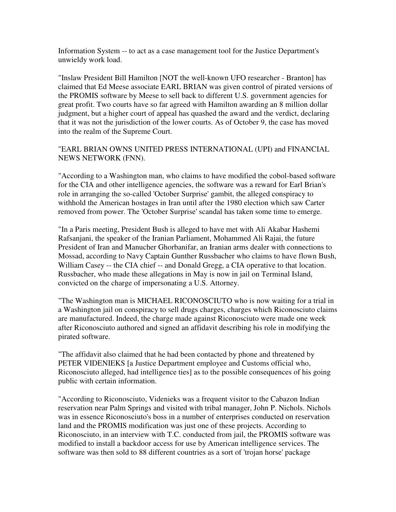Information System -- to act as a case management tool for the Justice Department's unwieldy work load.

"Inslaw President Bill Hamilton [NOT the well-known UFO researcher - Branton] has claimed that Ed Meese associate EARL BRIAN was given control of pirated versions of the PROMIS software by Meese to sell back to different U.S. government agencies for great profit. Two courts have so far agreed with Hamilton awarding an 8 million dollar judgment, but a higher court of appeal has quashed the award and the verdict, declaring that it was not the jurisdiction of the lower courts. As of October 9, the case has moved into the realm of the Supreme Court.

"EARL BRIAN OWNS UNITED PRESS INTERNATIONAL (UPI) and FINANCIAL NEWS NETWORK (FNN).

"According to a Washington man, who claims to have modified the cobol-based software for the CIA and other intelligence agencies, the software was a reward for Earl Brian's role in arranging the so-called 'October Surprise' gambit, the alleged conspiracy to withhold the American hostages in Iran until after the 1980 election which saw Carter removed from power. The 'October Surprise' scandal has taken some time to emerge.

"In a Paris meeting, President Bush is alleged to have met with Ali Akabar Hashemi Rafsanjani, the speaker of the Iranian Parliament, Mohammed Ali Rajai, the future President of Iran and Manucher Ghorbanifar, an Iranian arms dealer with connections to Mossad, according to Navy Captain Gunther Russbacher who claims to have flown Bush, William Casey -- the CIA chief -- and Donald Gregg, a CIA operative to that location. Russbacher, who made these allegations in May is now in jail on Terminal Island, convicted on the charge of impersonating a U.S. Attorney.

"The Washington man is MICHAEL RICONOSCIUTO who is now waiting for a trial in a Washington jail on conspiracy to sell drugs charges, charges which Riconosciuto claims are manufactured. Indeed, the charge made against Riconosciuto were made one week after Riconosciuto authored and signed an affidavit describing his role in modifying the pirated software.

"The affidavit also claimed that he had been contacted by phone and threatened by PETER VIDENIEKS [a Justice Department employee and Customs official who, Riconosciuto alleged, had intelligence ties] as to the possible consequences of his going public with certain information.

"According to Riconosciuto, Videnieks was a frequent visitor to the Cabazon Indian reservation near Palm Springs and visited with tribal manager, John P. Nichols. Nichols was in essence Riconosciuto's boss in a number of enterprises conducted on reservation land and the PROMIS modification was just one of these projects. According to Riconosciuto, in an interview with T.C. conducted from jail, the PROMIS software was modified to install a backdoor access for use by American intelligence services. The software was then sold to 88 different countries as a sort of 'trojan horse' package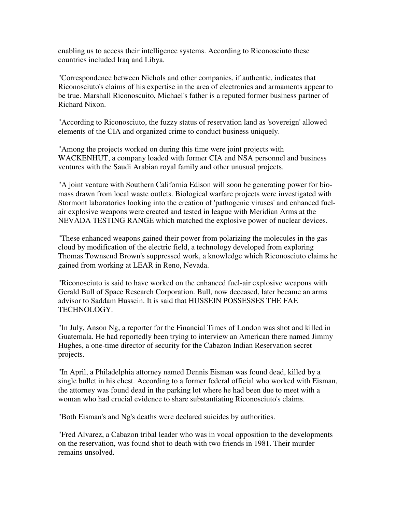enabling us to access their intelligence systems. According to Riconosciuto these countries included Iraq and Libya.

"Correspondence between Nichols and other companies, if authentic, indicates that Riconosciuto's claims of his expertise in the area of electronics and armaments appear to be true. Marshall Riconoscuito, Michael's father is a reputed former business partner of Richard Nixon.

"According to Riconosciuto, the fuzzy status of reservation land as 'sovereign' allowed elements of the CIA and organized crime to conduct business uniquely.

"Among the projects worked on during this time were joint projects with WACKENHUT, a company loaded with former CIA and NSA personnel and business ventures with the Saudi Arabian royal family and other unusual projects.

"A joint venture with Southern California Edison will soon be generating power for biomass drawn from local waste outlets. Biological warfare projects were investigated with Stormont laboratories looking into the creation of 'pathogenic viruses' and enhanced fuelair explosive weapons were created and tested in league with Meridian Arms at the NEVADA TESTING RANGE which matched the explosive power of nuclear devices.

"These enhanced weapons gained their power from polarizing the molecules in the gas cloud by modification of the electric field, a technology developed from exploring Thomas Townsend Brown's suppressed work, a knowledge which Riconosciuto claims he gained from working at LEAR in Reno, Nevada.

"Riconosciuto is said to have worked on the enhanced fuel-air explosive weapons with Gerald Bull of Space Research Corporation. Bull, now deceased, later became an arms advisor to Saddam Hussein. It is said that HUSSEIN POSSESSES THE FAE TECHNOLOGY.

"In July, Anson Ng, a reporter for the Financial Times of London was shot and killed in Guatemala. He had reportedly been trying to interview an American there named Jimmy Hughes, a one-time director of security for the Cabazon Indian Reservation secret projects.

"In April, a Philadelphia attorney named Dennis Eisman was found dead, killed by a single bullet in his chest. According to a former federal official who worked with Eisman, the attorney was found dead in the parking lot where he had been due to meet with a woman who had crucial evidence to share substantiating Riconosciuto's claims.

"Both Eisman's and Ng's deaths were declared suicides by authorities.

"Fred Alvarez, a Cabazon tribal leader who was in vocal opposition to the developments on the reservation, was found shot to death with two friends in 1981. Their murder remains unsolved.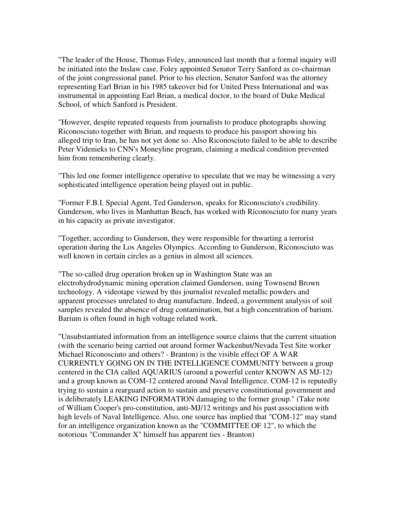"The leader of the House, Thomas Foley, announced last month that a formal inquiry will be initiated into the Inslaw case. Foley appointed Senator Terry Sanford as co-chairman of the joint congressional panel. Prior to his election, Senator Sanford was the attorney representing Earl Brian in his 1985 takeover bid for United Press International and was instrumental in appointing Earl Brian, a medical doctor, to the board of Duke Medical School, of which Sanford is President.

"However, despite repeated requests from journalists to produce photographs showing Riconosciuto together with Brian, and requests to produce his passport showing his alleged trip to Iran, he has not yet done so. Also Riconosciuto failed to be able to describe Peter Videnieks to CNN's Moneyline program, claiming a medical condition prevented him from remembering clearly.

"This led one former intelligence operative to speculate that we may be witnessing a very sophisticated intelligence operation being played out in public.

"Former F.B.I. Special Agent, Ted Gunderson, speaks for Riconosciuto's credibility. Gunderson, who lives in Manhattan Beach, has worked with Riconosciuto for many years in his capacity as private investigator.

"Together, according to Gunderson, they were responsible for thwarting a terrorist operation during the Los Angeles Olympics. According to Gunderson, Riconosciuto was well known in certain circles as a genius in almost all sciences.

"The so-called drug operation broken up in Washington State was an electrohydrodynamic mining operation claimed Gunderson, using Townsend Brown technology. A videotape viewed by this journalist revealed metallic powders and apparent processes unrelated to drug manufacture. Indeed, a government analysis of soil samples revealed the absence of drug contamination, but a high concentration of barium. Barium is often found in high voltage related work.

"Unsubstantiated information from an intelligence source claims that the current situation (with the scenario being carried out around former Wackenhut/Nevada Test Site worker Michael Riconosciuto and others? - Branton) is the visible effect OF A WAR CURRENTLY GOING ON IN THE INTELLIGENCE COMMUNITY between a group centered in the CIA called AQUARIUS (around a powerful center KNOWN AS MJ-12) and a group known as COM-12 centered around Naval Intelligence. COM-12 is reputedly trying to sustain a rearguard action to sustain and preserve constitutional government and is deliberately LEAKING INFORMATION damaging to the former group." (Take note of William Cooper's pro-constitution, anti-MJ/12 writings and his past association with high levels of Naval Intelligence. Also, one source has implied that "COM-12" may stand for an intelligence organization known as the "COMMITTEE OF 12", to which the notorious "Commander X" himself has apparent ties - Branton)